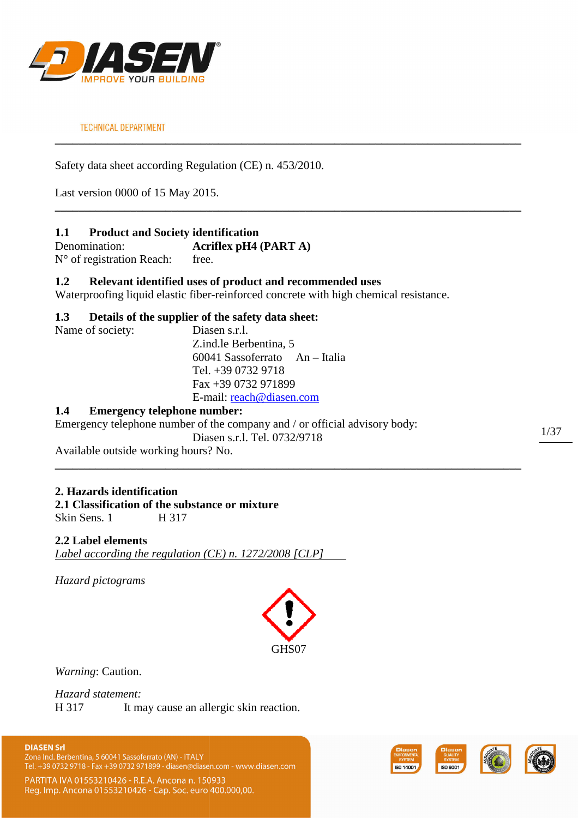

Safety data sheet according Regulation (CE) n. 453/2010.

Last version 0000 of 15 May 2015.

# **1.1 Product and Society identification**

Denomination: **Acriflex pH4 (PART (PART A)** N° of registration Reach: free.

# **1.2 Relevant identified uses of product and recommended uses**

Waterproofing liquid elastic fiber-reinforced concrete with high chemical resistance.

**\_\_\_\_\_\_\_\_\_\_\_\_\_\_\_\_\_\_\_\_\_\_\_\_\_\_\_\_\_\_\_\_\_\_\_\_\_\_\_\_\_\_\_\_\_\_\_\_\_\_\_\_\_\_\_\_\_\_\_\_\_\_\_\_\_\_\_\_\_\_\_\_\_\_\_\_\_\_\_\_**

**\_\_\_\_\_\_\_\_\_\_\_\_\_\_\_\_\_\_\_\_\_\_\_\_\_\_\_\_\_\_\_\_\_\_\_\_\_\_\_\_\_\_\_\_\_\_\_\_\_\_\_\_\_\_\_\_\_\_\_\_\_\_\_\_\_\_\_\_\_\_\_\_\_\_\_\_\_\_\_\_**

# **1.3 Details of the supplier of the safety data sheet:**

| Name of society: | Diasen s.r.l.                  |
|------------------|--------------------------------|
|                  | Z.ind.le Berbentina, 5         |
|                  | 60041 Sassoferrato An - Italia |
|                  | Tel. $+3907329718$             |
|                  | Fax $+390732971899$            |
|                  | E-mail: reach@diasen.com       |
|                  |                                |

# **1.4 Emergency telephone number:**

Emergency telephone number of the company and / or official advisory body: Diasen s.r.l. Tel. 0732/9718

Available outside working hours? No. ?

# **2. Hazards identification**

**2.1 Classification of the substance or mixture** Skin Sens. 1 H 317

### **2.2 Label elements**

*Label according the regulation (CE) n. 1272/2008 [CLP]* 

*Hazard pictograms* 



**\_\_\_\_\_\_\_\_\_\_\_\_\_\_\_\_\_\_\_\_\_\_\_\_\_\_\_\_\_\_\_\_\_\_\_\_\_\_\_\_\_\_\_\_\_\_\_\_\_\_\_\_\_\_\_\_\_\_\_\_\_\_\_\_\_\_\_\_\_\_\_\_\_\_\_\_\_\_\_\_**

*Warning*: Caution.

*Hazard statement:*  H 317 It may cause an allergic skin reaction.

**DIASEN Srl** Zona Ind. Berbentina, 5 60041 Sassoferrato (AN) - ITALY Tel. +39 0732 9718 - Fax +39 0732 971899 - diasen@diasen.com - www.diasen.com

PARTITA IVA 01553210426 - R.E.A. Ancona n. 150933 Reg. Imp. Ancona 01553210426 - Cap. Soc. euro 400.000,00.

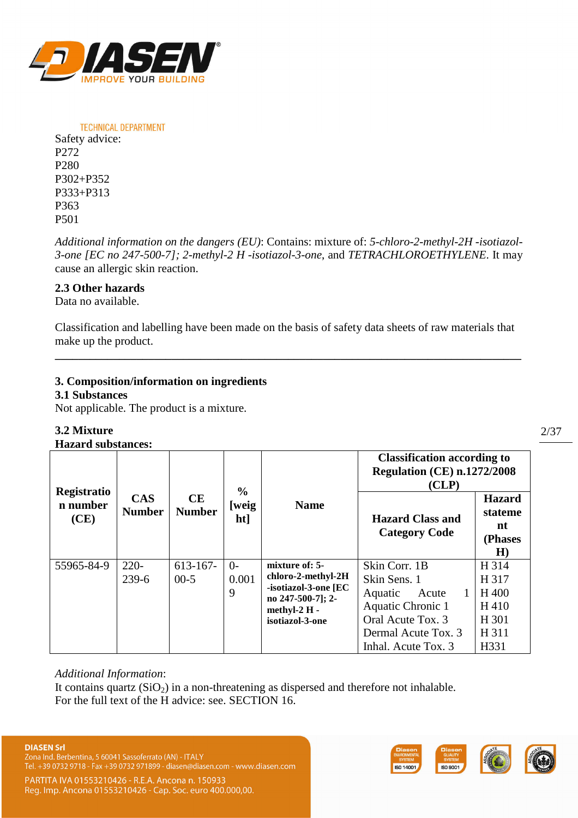

**TECHNICAL DEPARTMENT** Safety advice: P272 P280 P302+P352 P333+P313 P363 P501

*Additional information on the dangers (EU)*: Contains: mixture of: *5-chloro-2-methyl-2H -isotiazol-3-one [EC no 247-500-7]; 2-methyl-2 H -isotiazol-3-one*, and *TETRACHLOROETHYLENE*. It may cause an allergic skin reaction.

# **2.3 Other hazards**

Data no available.

Classification and labelling have been made on the basis of safety data sheets of raw materials that make up the product.

**\_\_\_\_\_\_\_\_\_\_\_\_\_\_\_\_\_\_\_\_\_\_\_\_\_\_\_\_\_\_\_\_\_\_\_\_\_\_\_\_\_\_\_\_\_\_\_\_\_\_\_\_\_\_\_\_\_\_\_\_\_\_\_\_\_\_\_\_\_\_\_\_\_\_\_\_\_\_\_\_** 

# **3. Composition/information on ingredients**

### **3.1 Substances**

Not applicable. The product is a mixture.

# **3.2 Mixture**

**Hazard substances:** 

|                                 |                             |                            | $\frac{0}{0}$          |                                                                                                                      | <b>Classification according to</b><br><b>Regulation (CE) n.1272/2008</b><br>(CLP)                                                         |                                                           |
|---------------------------------|-----------------------------|----------------------------|------------------------|----------------------------------------------------------------------------------------------------------------------|-------------------------------------------------------------------------------------------------------------------------------------------|-----------------------------------------------------------|
| Registratio<br>n number<br>(CE) | <b>CAS</b><br><b>Number</b> | <b>CE</b><br><b>Number</b> | [weig<br>ht]           | <b>Name</b>                                                                                                          | <b>Hazard Class and</b><br><b>Category Code</b>                                                                                           | <b>Hazard</b><br>stateme<br>nt<br>(Phases<br>H)           |
| 55965-84-9                      | $220-$<br>239-6             | $613 - 167$<br>$00-5$      | $\Omega$<br>0.001<br>9 | mixture of: 5-<br>chloro-2-methyl-2H<br>-isotiazol-3-one [EC<br>no 247-500-7]; 2-<br>methyl-2 H -<br>isotiazol-3-one | Skin Corr. 1B<br>Skin Sens. 1<br>Aquatic<br>Acute<br>Aquatic Chronic 1<br>Oral Acute Tox. 3<br>Dermal Acute Tox. 3<br>Inhal. Acute Tox. 3 | H 314<br>H 317<br>H 400<br>H410<br>H 301<br>H 311<br>H331 |

### *Additional Information*:

It contains quartz  $(SiO<sub>2</sub>)$  in a non-threatening as dispersed and therefore not inhalable. For the full text of the H advice: see. SECTION 16.

Zona Ind. Berbentina, 5 60041 Sassoferrato (AN) - ITALY Tel. +39 0732 9718 - Fax +39 0732 971899 - diasen@diasen.com - www.diasen.com

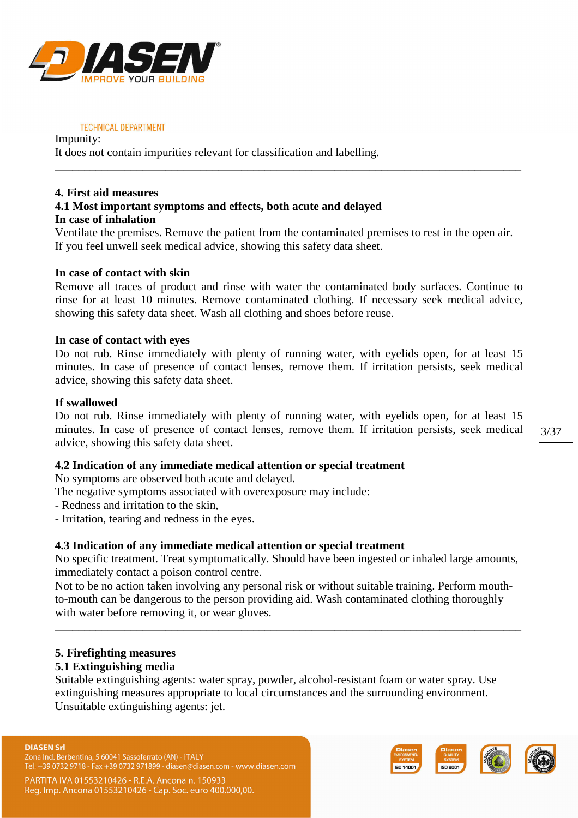

Impunity: It does not contain impurities relevant for classification and labelling.

### **4. First aid measures 4.1 Most important symptoms and effects, both acute and delayed In case of inhalation**

Ventilate the premises. Remove the patient from the contaminated premises to rest in the open air. If you feel unwell seek medical advice, showing this safety data sheet.

**\_\_\_\_\_\_\_\_\_\_\_\_\_\_\_\_\_\_\_\_\_\_\_\_\_\_\_\_\_\_\_\_\_\_\_\_\_\_\_\_\_\_\_\_\_\_\_\_\_\_\_\_\_\_\_\_\_\_\_\_\_\_\_\_\_\_\_\_\_\_\_\_\_\_\_\_\_\_\_\_** 

### **In case of contact with skin**

Remove all traces of product and rinse with water the contaminated body surfaces. Continue to rinse for at least 10 minutes. Remove contaminated clothing. If necessary seek medical advice, showing this safety data sheet. Wash all clothing and shoes before reuse.

### **In case of contact with eyes**

Do not rub. Rinse immediately with plenty of running water, with eyelids open, for at least 15 minutes. In case of presence of contact lenses, remove them. If irritation persists, seek medical advice, showing this safety data sheet.

# **If swallowed**

Do not rub. Rinse immediately with plenty of running water, with eyelids open, for at least 15 minutes. In case of presence of contact lenses, remove them. If irritation persists, seek medical advice, showing this safety data sheet.

# **4.2 Indication of any immediate medical attention or special treatment**

No symptoms are observed both acute and delayed.

- The negative symptoms associated with overexposure may include:
- Redness and irritation to the skin,
- Irritation, tearing and redness in the eyes.

### **4.3 Indication of any immediate medical attention or special treatment**

No specific treatment. Treat symptomatically. Should have been ingested or inhaled large amounts, immediately contact a poison control centre.

Not to be no action taken involving any personal risk or without suitable training. Perform mouthto-mouth can be dangerous to the person providing aid. Wash contaminated clothing thoroughly with water before removing it, or wear gloves.

**\_\_\_\_\_\_\_\_\_\_\_\_\_\_\_\_\_\_\_\_\_\_\_\_\_\_\_\_\_\_\_\_\_\_\_\_\_\_\_\_\_\_\_\_\_\_\_\_\_\_\_\_\_\_\_\_\_\_\_\_\_\_\_\_\_\_\_\_\_\_\_\_\_\_\_\_\_\_\_\_** 

# **5. Firefighting measures**

### **5.1 Extinguishing media**

Suitable extinguishing agents: water spray, powder, alcohol-resistant foam or water spray. Use extinguishing measures appropriate to local circumstances and the surrounding environment. Unsuitable extinguishing agents: jet.

#### **DIASEN Srl**

Zona Ind. Berbentina, 5 60041 Sassoferrato (AN) - ITALY Tel. +39 0732 9718 - Fax +39 0732 971899 - diasen@diasen.com - www.diasen.com



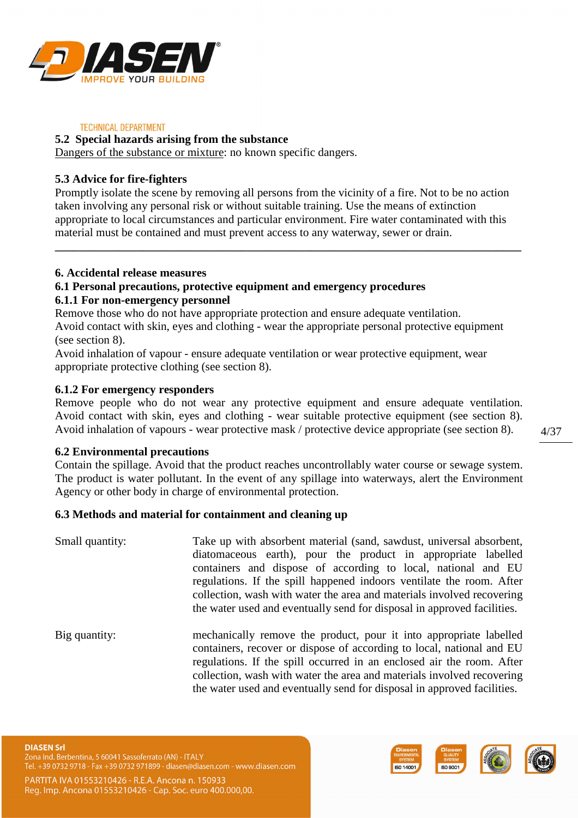

### **5.2 Special hazards arising from the substance**

Dangers of the substance or mixture: no known specific dangers.

# **5.3 Advice for fire-fighters**

Promptly isolate the scene by removing all persons from the vicinity of a fire. Not to be no action taken involving any personal risk or without suitable training. Use the means of extinction appropriate to local circumstances and particular environment. Fire water contaminated with this material must be contained and must prevent access to any waterway, sewer or drain.

**\_\_\_\_\_\_\_\_\_\_\_\_\_\_\_\_\_\_\_\_\_\_\_\_\_\_\_\_\_\_\_\_\_\_\_\_\_\_\_\_\_\_\_\_\_\_\_\_\_\_\_\_\_\_\_\_\_\_\_\_\_\_\_\_\_\_\_\_\_\_\_\_\_\_\_\_\_\_\_\_**

### **6. Accidental release measures**

# **6.1 Personal precautions, protective equipment and emergency procedures**

### **6.1.1 For non-emergency personnel**

Remove those who do not have appropriate protection and ensure adequate ventilation. Avoid contact with skin, eyes and clothing - wear the appropriate personal protective equipment (see section 8).

Avoid inhalation of vapour - ensure adequate ventilation or wear protective equipment, wear appropriate protective clothing (see section 8).

### **6.1.2 For emergency responders**

Remove people who do not wear any protective equipment and ensure adequate ventilation. Avoid contact with skin, eyes and clothing - wear suitable protective equipment (see section 8). Avoid inhalation of vapours - wear protective mask / protective device appropriate (see section 8).

### **6.2 Environmental precautions**

Contain the spillage. Avoid that the product reaches uncontrollably water course or sewage system. The product is water pollutant. In the event of any spillage into waterways, alert the Environment Agency or other body in charge of environmental protection.

### **6.3 Methods and material for containment and cleaning up**

- Small quantity: Take up with absorbent material (sand, sawdust, universal absorbent, diatomaceous earth), pour the product in appropriate labelled containers and dispose of according to local, national and EU regulations. If the spill happened indoors ventilate the room. After collection, wash with water the area and materials involved recovering the water used and eventually send for disposal in approved facilities.
- Big quantity: mechanically remove the product, pour it into appropriate labelled containers, recover or dispose of according to local, national and EU regulations. If the spill occurred in an enclosed air the room. After collection, wash with water the area and materials involved recovering the water used and eventually send for disposal in approved facilities.

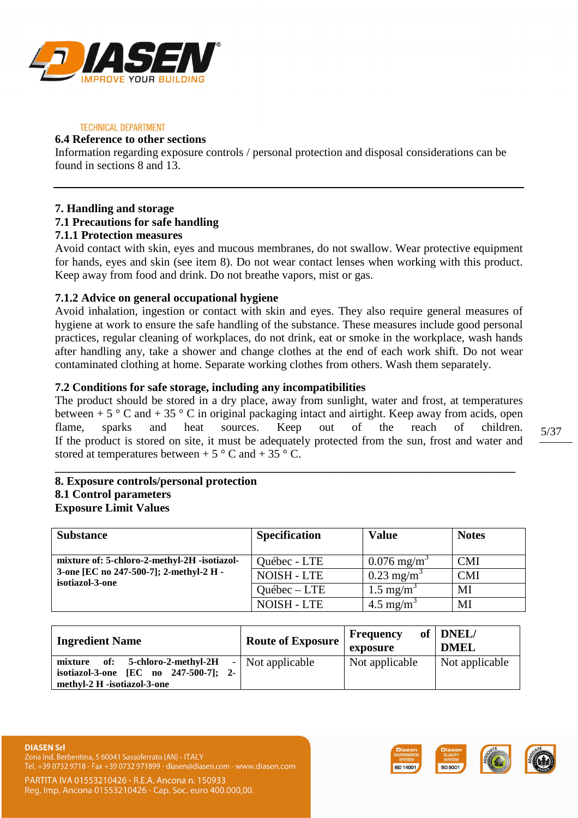

### **6.4 Reference to other sections**

Information regarding exposure controls / personal protection and disposal considerations can be found in sections 8 and 13.

### **7. Handling and storage 7.1 Precautions for safe handling 7.1.1 Protection measures**

Avoid contact with skin, eyes and mucous membranes, do not swallow. Wear protective equipment for hands, eyes and skin (see item 8). Do not wear contact lenses when working with this product. Keep away from food and drink. Do not breathe vapors, mist or gas.

# **7.1.2 Advice on general occupational hygiene**

Avoid inhalation, ingestion or contact with skin and eyes. They also require general measures of hygiene at work to ensure the safe handling of the substance. These measures include good personal practices, regular cleaning of workplaces, do not drink, eat or smoke in the workplace, wash hands after handling any, take a shower and change clothes at the end of each work shift. Do not wear contaminated clothing at home. Separate working clothes from others. Wash them separately.

# **7.2 Conditions for safe storage, including any incompatibilities**

The product should be stored in a dry place, away from sunlight, water and frost, at temperatures between +  $5 \degree$  C and +  $35 \degree$  C in original packaging intact and airtight. Keep away from acids, open flame, sparks and heat sources. Keep out of the reach of children. If the product is stored on site, it must be adequately protected from the sun, frost and water and stored at temperatures between +  $5^{\circ}$  C and +  $35^{\circ}$  C.

**\_\_\_\_\_\_\_\_\_\_\_\_\_\_\_\_\_\_\_\_\_\_\_\_\_\_\_\_\_\_\_\_\_\_\_\_\_\_\_\_\_\_\_\_\_\_\_\_\_\_\_\_\_\_\_\_\_\_\_\_\_\_\_\_\_\_\_\_\_\_\_\_\_\_\_\_\_\_\_** 

# **8. Exposure controls/personal protection 8.1 Control parameters Exposure Limit Values**

| <b>Substance</b>                                           | <b>Specification</b> | <b>Value</b>             | <b>Notes</b> |
|------------------------------------------------------------|----------------------|--------------------------|--------------|
| mixture of: 5-chloro-2-methyl-2H -isotiazol-               | Québec - LTE         | $0.076 \text{ mg/m}^3$   | CMI          |
| 3-one [EC no 247-500-7]; 2-methyl-2 H -<br>isotiazol-3-one | <b>NOISH - LTE</b>   | $0.23$ mg/m <sup>3</sup> | CMI          |
|                                                            | $Quebec - LTE$       | $1.5 \text{ mg/m}^3$     | MI           |
|                                                            | <b>NOISH - LTE</b>   | $4.5 \text{ mg/m}^3$     | MI           |

| <b>Ingredient Name</b>                                                                                        | <b>Route of Exposure</b> | <b>Frequency</b><br>exposure | of $ $ DNEL/<br><b>DMEL</b> |
|---------------------------------------------------------------------------------------------------------------|--------------------------|------------------------------|-----------------------------|
| mixture of: 5-chloro-2-methyl-2H<br>isotiazol-3-one [EC no 247-500-7];<br>$2-$<br>methyl-2 H -isotiazol-3-one | - Not applicable         | Not applicable               | Not applicable              |



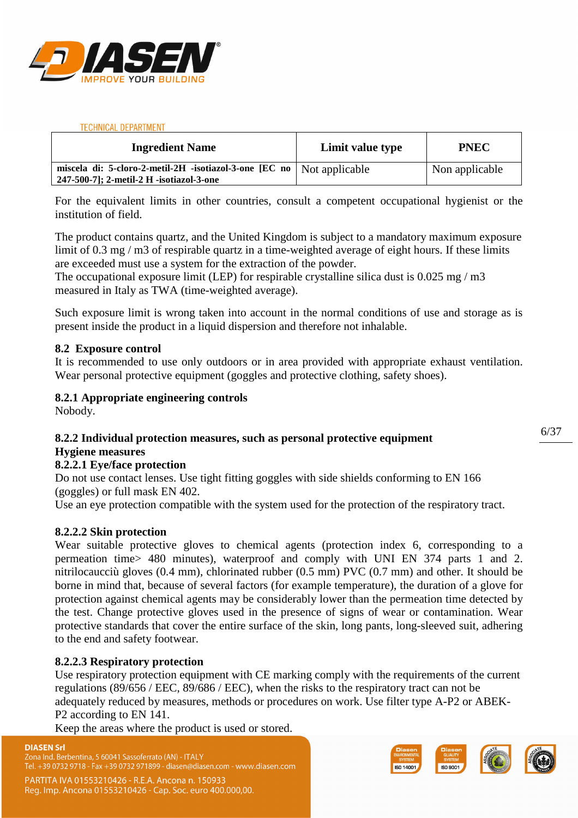

| <b>Ingredient Name</b>                                                                                              | Limit value type | <b>PNEC</b>    |
|---------------------------------------------------------------------------------------------------------------------|------------------|----------------|
| miscela di: 5-cloro-2-metil-2H -isotiazol-3-one [EC no   Not applicable<br>247-500-7]; 2-metil-2 H -isotiazol-3-one |                  | Non applicable |

For the equivalent limits in other countries, consult a competent occupational hygienist or the institution of field.

The product contains quartz, and the United Kingdom is subject to a mandatory maximum exposure limit of 0.3 mg / m3 of respirable quartz in a time-weighted average of eight hours. If these limits are exceeded must use a system for the extraction of the powder.

The occupational exposure limit (LEP) for respirable crystalline silica dust is 0.025 mg / m3 measured in Italy as TWA (time-weighted average).

Such exposure limit is wrong taken into account in the normal conditions of use and storage as is present inside the product in a liquid dispersion and therefore not inhalable.

### **8.2 Exposure control**

It is recommended to use only outdoors or in area provided with appropriate exhaust ventilation. Wear personal protective equipment (goggles and protective clothing, safety shoes).

### **8.2.1 Appropriate engineering controls**

Nobody.

### **8.2.2 Individual protection measures, such as personal protective equipment**

### **Hygiene measures**

### **8.2.2.1 Eye/face protection**

Do not use contact lenses. Use tight fitting goggles with side shields conforming to EN 166 (goggles) or full mask EN 402.

Use an eye protection compatible with the system used for the protection of the respiratory tract.

### **8.2.2.2 Skin protection**

Wear suitable protective gloves to chemical agents (protection index 6, corresponding to a permeation time> 480 minutes), waterproof and comply with UNI EN 374 parts 1 and 2. nitrilocaucciù gloves (0.4 mm), chlorinated rubber (0.5 mm) PVC (0.7 mm) and other. It should be borne in mind that, because of several factors (for example temperature), the duration of a glove for protection against chemical agents may be considerably lower than the permeation time detected by the test. Change protective gloves used in the presence of signs of wear or contamination. Wear protective standards that cover the entire surface of the skin, long pants, long-sleeved suit, adhering to the end and safety footwear.

### **8.2.2.3 Respiratory protection**

Use respiratory protection equipment with CE marking comply with the requirements of the current regulations (89/656 / EEC, 89/686 / EEC), when the risks to the respiratory tract can not be adequately reduced by measures, methods or procedures on work. Use filter type A-P2 or ABEK-P2 according to EN 141.

Keep the areas where the product is used or stored.

### **DIASEN Srl**

Zona Ind. Berbentina, 5 60041 Sassoferrato (AN) - ITALY . +39 0732 9718 - Fax +39 0732 971899 - diasen@diasen.com - www.diasen.com

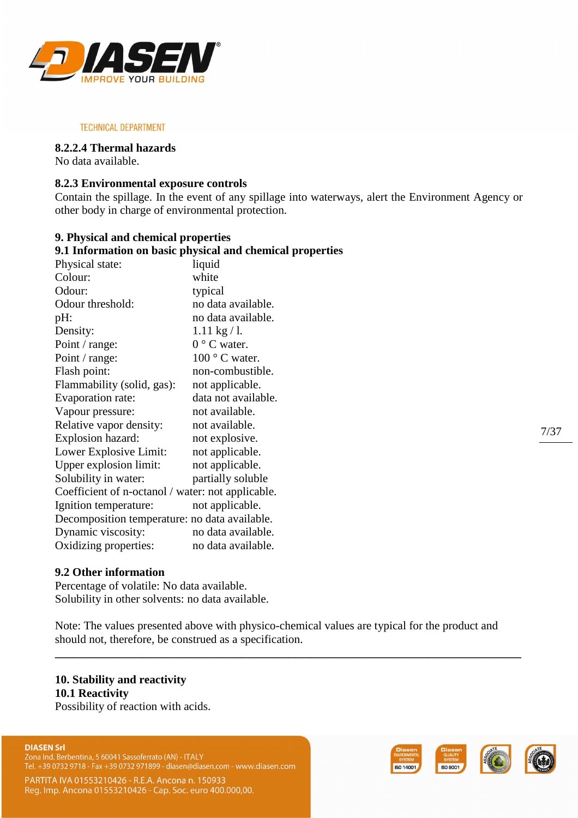

### **8.2.2.4 Thermal hazards**

No data available.

### **8.2.3 Environmental exposure controls**

Contain the spillage. In the event of any spillage into waterways, alert the Environment Agency or other body in charge of environmental protection.

### **9. Physical and chemical properties**

|                                                   | 9.1 Information on basic physical and chemical properties |
|---------------------------------------------------|-----------------------------------------------------------|
| Physical state:                                   | liquid                                                    |
| Colour:                                           | white                                                     |
| Odour:                                            | typical                                                   |
| Odour threshold:                                  | no data available.                                        |
| pH:                                               | no data available.                                        |
| Density:                                          | $1.11 \text{ kg} / l.$                                    |
| Point / range:                                    | $0^{\circ}$ C water.                                      |
| Point / range:                                    | $100^{\circ}$ C water.                                    |
| Flash point:                                      | non-combustible.                                          |
| Flammability (solid, gas):                        | not applicable.                                           |
| Evaporation rate:                                 | data not available.                                       |
| Vapour pressure:                                  | not available.                                            |
| Relative vapor density:                           | not available.                                            |
| Explosion hazard:                                 | not explosive.                                            |
| Lower Explosive Limit:                            | not applicable.                                           |
| Upper explosion limit:                            | not applicable.                                           |
| Solubility in water:                              | partially soluble                                         |
| Coefficient of n-octanol / water: not applicable. |                                                           |
| Ignition temperature:                             | not applicable.                                           |
| Decomposition temperature: no data available.     |                                                           |
| Dynamic viscosity:                                | no data available.                                        |
| Oxidizing properties:                             | no data available.                                        |

### **9.2 Other information**

Percentage of volatile: No data available. Solubility in other solvents: no data available.

Note: The values presented above with physico-chemical values are typical for the product and should not, therefore, be construed as a specification.

**\_\_\_\_\_\_\_\_\_\_\_\_\_\_\_\_\_\_\_\_\_\_\_\_\_\_\_\_\_\_\_\_\_\_\_\_\_\_\_\_\_\_\_\_\_\_\_\_\_\_\_\_\_\_\_\_\_\_\_\_\_\_\_\_\_\_\_\_\_\_\_\_\_\_\_\_\_\_\_\_** 

# **10. Stability and reactivity 10.1 Reactivity**

Possibility of reaction with acids.

#### **DIASEN Srl**

Zona Ind. Berbentina, 5 60041 Sassoferrato (AN) - ITALY Tel. +39 0732 9718 - Fax +39 0732 971899 - diasen@diasen.com - www.diasen.com



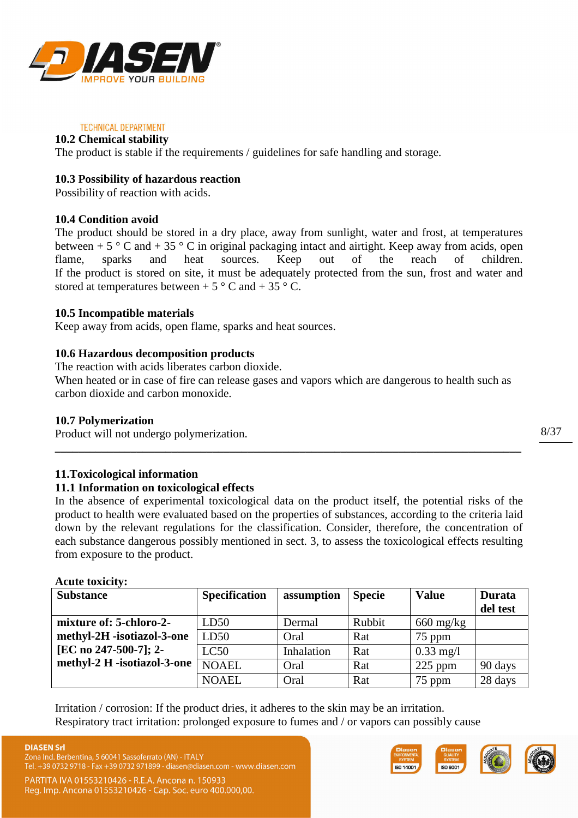

# **10.2 Chemical stability**

The product is stable if the requirements / guidelines for safe handling and storage.

# **10.3 Possibility of hazardous reaction**

Possibility of reaction with acids.

# **10.4 Condition avoid**

The product should be stored in a dry place, away from sunlight, water and frost, at temperatures between + 5  $\degree$  C and + 35  $\degree$  C in original packaging intact and airtight. Keep away from acids, open flame, sparks and heat sources. Keep out of the reach of children. If the product is stored on site, it must be adequately protected from the sun, frost and water and stored at temperatures between +  $5^{\circ}$  C and +  $35^{\circ}$  C.

# **10.5 Incompatible materials**

Keep away from acids, open flame, sparks and heat sources.

# **10.6 Hazardous decomposition products**

The reaction with acids liberates carbon dioxide.

When heated or in case of fire can release gases and vapors which are dangerous to health such as carbon dioxide and carbon monoxide.

### **10.7 Polymerization**

Product will not undergo polymerization.

# **11.Toxicological information**

### **11.1 Information on toxicological effects**

In the absence of experimental toxicological data on the product itself, the potential risks of the product to health were evaluated based on the properties of substances, according to the criteria laid down by the relevant regulations for the classification. Consider, therefore, the concentration of each substance dangerous possibly mentioned in sect. 3, to assess the toxicological effects resulting from exposure to the product.

**\_\_\_\_\_\_\_\_\_\_\_\_\_\_\_\_\_\_\_\_\_\_\_\_\_\_\_\_\_\_\_\_\_\_\_\_\_\_\_\_\_\_\_\_\_\_\_\_\_\_\_\_\_\_\_\_\_\_\_\_\_\_\_\_\_\_\_\_\_\_\_\_\_\_\_\_\_\_\_\_** 

### **Acute toxicity:**

| <b>Substance</b>            | <b>Specification</b> | assumption | <b>Specie</b> | <b>Value</b>        | <b>Durata</b> |
|-----------------------------|----------------------|------------|---------------|---------------------|---------------|
|                             |                      |            |               |                     | del test      |
| mixture of: 5-chloro-2-     | LD50                 | Dermal     | Rubbit        | $660 \text{ mg/kg}$ |               |
| methyl-2H -isotiazol-3-one  | LD50                 | Oral       | Rat           | 75 ppm              |               |
| [EC no 247-500-7]; 2-       | LC50                 | Inhalation | Rat           | $0.33 \text{ mg}/1$ |               |
| methyl-2 H -isotiazol-3-one | <b>NOAEL</b>         | Oral       | Rat           | $225$ ppm           | 90 days       |
|                             | <b>NOAEL</b>         | Oral       | Rat           | 75 ppm              | 28 days       |

Irritation / corrosion: If the product dries, it adheres to the skin may be an irritation. Respiratory tract irritation: prolonged exposure to fumes and / or vapors can possibly cause



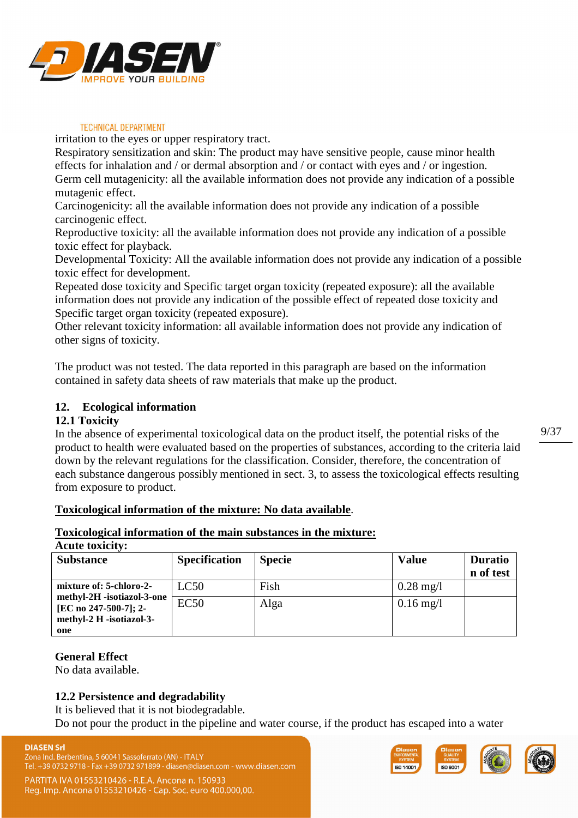

irritation to the eyes or upper respiratory tract.

Respiratory sensitization and skin: The product may have sensitive people, cause minor health effects for inhalation and / or dermal absorption and / or contact with eyes and / or ingestion. Germ cell mutagenicity: all the available information does not provide any indication of a possible mutagenic effect.

Carcinogenicity: all the available information does not provide any indication of a possible carcinogenic effect.

Reproductive toxicity: all the available information does not provide any indication of a possible toxic effect for playback.

Developmental Toxicity: All the available information does not provide any indication of a possible toxic effect for development.

Repeated dose toxicity and Specific target organ toxicity (repeated exposure): all the available information does not provide any indication of the possible effect of repeated dose toxicity and Specific target organ toxicity (repeated exposure).

Other relevant toxicity information: all available information does not provide any indication of other signs of toxicity.

The product was not tested. The data reported in this paragraph are based on the information contained in safety data sheets of raw materials that make up the product.

# **12. Ecological information**

# **12.1 Toxicity**

In the absence of experimental toxicological data on the product itself, the potential risks of the product to health were evaluated based on the properties of substances, according to the criteria laid down by the relevant regulations for the classification. Consider, therefore, the concentration of each substance dangerous possibly mentioned in sect. 3, to assess the toxicological effects resulting from exposure to product.

# **Toxicological information of the mixture: No data available**.

### **Toxicological information of the main substances in the mixture:**

#### **Acute toxicity:**

| <b>Substance</b>                                                                | <b>Specification</b> | <b>Specie</b> | <b>Value</b>           | <b>Duratio</b><br>n of test |
|---------------------------------------------------------------------------------|----------------------|---------------|------------------------|-----------------------------|
| mixture of: 5-chloro-2-                                                         | LC50                 | Fish          | $0.28 \text{ mg}/1$    |                             |
| methyl-2H -isotiazol-3-one<br>[EC no 247-500-7]; 2-<br>methyl-2 H -isotiazol-3- | <b>EC50</b>          | Alga          | $0.16 \,\mathrm{mg}/l$ |                             |
| one                                                                             |                      |               |                        |                             |

### **General Effect**

No data available.

# **12.2 Persistence and degradability**

It is believed that it is not biodegradable.

Do not pour the product in the pipeline and water course, if the product has escaped into a water





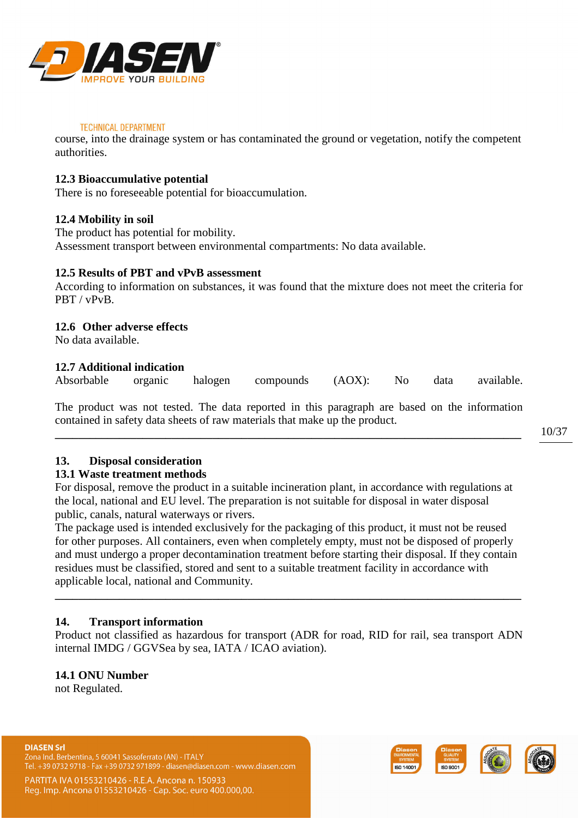

course, into the drainage system or has contaminated the ground or vegetation, notify the competent authorities.

# **12.3 Bioaccumulative potential**

There is no foreseeable potential for bioaccumulation.

### **12.4 Mobility in soil**

The product has potential for mobility. Assessment transport between environmental compartments: No data available.

### **12.5 Results of PBT and vPvB assessment**

According to information on substances, it was found that the mixture does not meet the criteria for PBT / vPvB.

### **12.6 Other adverse effects**

No data available.

### **12.7 Additional indication**

Absorbable organic halogen compounds (AOX): No data available.

The product was not tested. The data reported in this paragraph are based on the information contained in safety data sheets of raw materials that make up the product.

**\_\_\_\_\_\_\_\_\_\_\_\_\_\_\_\_\_\_\_\_\_\_\_\_\_\_\_\_\_\_\_\_\_\_\_\_\_\_\_\_\_\_\_\_\_\_\_\_\_\_\_\_\_\_\_\_\_\_\_\_\_\_\_\_\_\_\_\_\_\_\_\_\_\_\_\_\_\_\_\_** 

# **13. Disposal consideration**

### **13.1 Waste treatment methods**

For disposal, remove the product in a suitable incineration plant, in accordance with regulations at the local, national and EU level. The preparation is not suitable for disposal in water disposal public, canals, natural waterways or rivers.

The package used is intended exclusively for the packaging of this product, it must not be reused for other purposes. All containers, even when completely empty, must not be disposed of properly and must undergo a proper decontamination treatment before starting their disposal. If they contain residues must be classified, stored and sent to a suitable treatment facility in accordance with applicable local, national and Community.

# **14. Transport information**

Product not classified as hazardous for transport (ADR for road, RID for rail, sea transport ADN internal IMDG / GGVSea by sea, IATA / ICAO aviation).

**\_\_\_\_\_\_\_\_\_\_\_\_\_\_\_\_\_\_\_\_\_\_\_\_\_\_\_\_\_\_\_\_\_\_\_\_\_\_\_\_\_\_\_\_\_\_\_\_\_\_\_\_\_\_\_\_\_\_\_\_\_\_\_\_\_\_\_\_\_\_\_\_\_\_\_\_\_\_\_\_** 

### **14.1 ONU Number**

not Regulated.





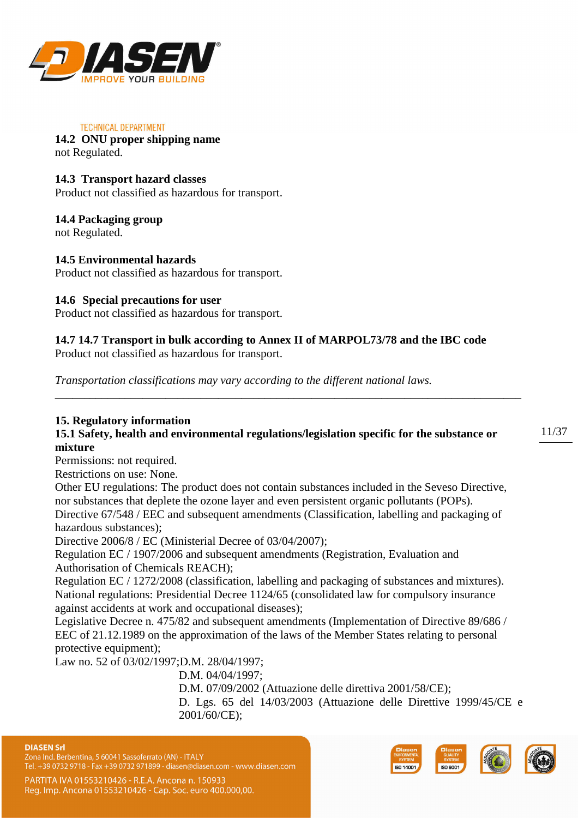

#### **TECHNICAL DEPARTMENT 14.2 ONU proper shipping name**

not Regulated.

# **14.3 Transport hazard classes**

Product not classified as hazardous for transport.

# **14.4 Packaging group**

not Regulated.

# **14.5 Environmental hazards**

Product not classified as hazardous for transport.

# **14.6 Special precautions for user**

Product not classified as hazardous for transport.

# **14.7 14.7 Transport in bulk according to Annex II of MARPOL73/78 and the IBC code**

Product not classified as hazardous for transport.

*Transportation classifications may vary according to the different national laws.* 

# **15. Regulatory information**

# **15.1 Safety, health and environmental regulations/legislation specific for the substance or mixture**

**\_\_\_\_\_\_\_\_\_\_\_\_\_\_\_\_\_\_\_\_\_\_\_\_\_\_\_\_\_\_\_\_\_\_\_\_\_\_\_\_\_\_\_\_\_\_\_\_\_\_\_\_\_\_\_\_\_\_\_\_\_\_\_\_\_\_\_\_\_\_\_\_\_\_\_\_\_\_\_\_**

Permissions: not required.

Restrictions on use: None.

Other EU regulations: The product does not contain substances included in the Seveso Directive, nor substances that deplete the ozone layer and even persistent organic pollutants (POPs). Directive 67/548 / EEC and subsequent amendments (Classification, labelling and packaging of

hazardous substances);

Directive 2006/8 / EC (Ministerial Decree of 03/04/2007);

Regulation EC / 1907/2006 and subsequent amendments (Registration, Evaluation and Authorisation of Chemicals REACH);

Regulation EC / 1272/2008 (classification, labelling and packaging of substances and mixtures). National regulations: Presidential Decree 1124/65 (consolidated law for compulsory insurance against accidents at work and occupational diseases);

Legislative Decree n. 475/82 and subsequent amendments (Implementation of Directive 89/686 / EEC of 21.12.1989 on the approximation of the laws of the Member States relating to personal protective equipment);

Law no. 52 of 03/02/1997;D.M. 28/04/1997;

D.M. 04/04/1997;

D.M. 07/09/2002 (Attuazione delle direttiva 2001/58/CE);

D. Lgs. 65 del 14/03/2003 (Attuazione delle Direttive 1999/45/CE e 2001/60/CE);



Zona Ind. Berbentina, 5 60041 Sassoferrato (AN) - ITALY Tel. +39 0732 9718 - Fax +39 0732 971899 - diasen@diasen.com - www.diasen.com

PARTITA IVA 01553210426 - R.E.A. Ancona n. 150933 Reg. Imp. Ancona 01553210426 - Cap. Soc. euro 400.000,00.

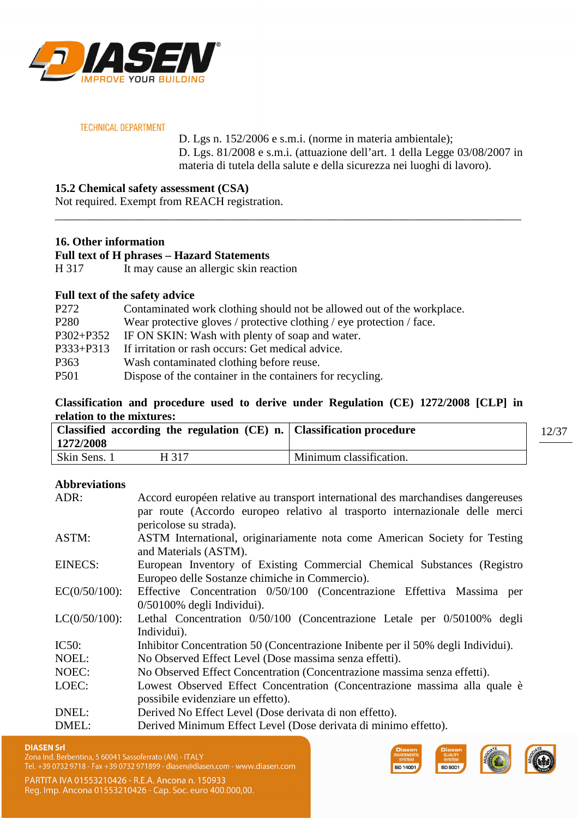

D. Lgs n. 152/2006 e s.m.i. (norme in materia ambientale); D. Lgs. 81/2008 e s.m.i. (attuazione dell'art. 1 della Legge 03/08/2007 in materia di tutela della salute e della sicurezza nei luoghi di lavoro).

**15.2 Chemical safety assessment (CSA)** 

Not required. Exempt from REACH registration.

# **16. Other information**

**Full text of H phrases – Hazard Statements** 

H 317 It may cause an allergic skin reaction

# **Full text of the safety advice**

| P272             | Contaminated work clothing should not be allowed out of the workplace. |
|------------------|------------------------------------------------------------------------|
| P <sub>280</sub> | Wear protective gloves / protective clothing / eye protection / face.  |
| P302+P352        | IF ON SKIN: Wash with plenty of soap and water.                        |
| P333+P313        | If irritation or rash occurs: Get medical advice.                      |
| P <sub>363</sub> | Wash contaminated clothing before reuse.                               |
| P <sub>501</sub> | Dispose of the container in the containers for recycling.              |

# **Classification and procedure used to derive under Regulation (CE) 1272/2008 [CLP] in relation to the mixtures:**

\_\_\_\_\_\_\_\_\_\_\_\_\_\_\_\_\_\_\_\_\_\_\_\_\_\_\_\_\_\_\_\_\_\_\_\_\_\_\_\_\_\_\_\_\_\_\_\_\_\_\_\_\_\_\_\_\_\_\_\_\_\_\_\_\_\_\_\_\_\_\_\_\_\_\_\_\_\_\_\_

| Classified according the regulation $(CE)$ n. Classification procedure<br>1272/2008 |                         | 12/37 |
|-------------------------------------------------------------------------------------|-------------------------|-------|
| Skin Sens. 1<br>H 317                                                               | Minimum classification. |       |

# **Abbreviations**

| ADR:             | Accord européen relative au transport international des marchandises dangereuses<br>par route (Accordo europeo relativo al trasporto internazionale delle merci |
|------------------|-----------------------------------------------------------------------------------------------------------------------------------------------------------------|
|                  | pericolose su strada).                                                                                                                                          |
| ASTM:            | ASTM International, originariamente nota come American Society for Testing                                                                                      |
|                  | and Materials (ASTM).                                                                                                                                           |
| <b>EINECS:</b>   | European Inventory of Existing Commercial Chemical Substances (Registro                                                                                         |
|                  | Europeo delle Sostanze chimiche in Commercio).                                                                                                                  |
| $EC(0/50/100)$ : | Effective Concentration 0/50/100 (Concentrazione Effettiva Massima per                                                                                          |
|                  | $0/50100\%$ degli Individui).                                                                                                                                   |
| $LC(0/50/100)$ : | Lethal Concentration 0/50/100 (Concentrazione Letale per 0/50100% degli                                                                                         |
|                  | Individui).                                                                                                                                                     |
| <b>IC50:</b>     | Inhibitor Concentration 50 (Concentrazione Inibente per il 50% degli Individui).                                                                                |
| NOEL:            | No Observed Effect Level (Dose massima senza effetti).                                                                                                          |
| NOEC:            | No Observed Effect Concentration (Concentrazione massima senza effetti).                                                                                        |
| LOEC:            | Lowest Observed Effect Concentration (Concentrazione massima alla quale è                                                                                       |
|                  | possibile evidenziare un effetto).                                                                                                                              |
| DNEL:            | Derived No Effect Level (Dose derivata di non effetto).                                                                                                         |
| DMEL:            | Derived Minimum Effect Level (Dose derivata di minimo effetto).                                                                                                 |

#### **DIASEN Srl**

Zona Ind. Berbentina, 5 60041 Sassoferrato (AN) - ITALY

Tel. +39 0732 9718 - Fax +39 0732 971899 - diasen@diasen.com - www.diasen.com

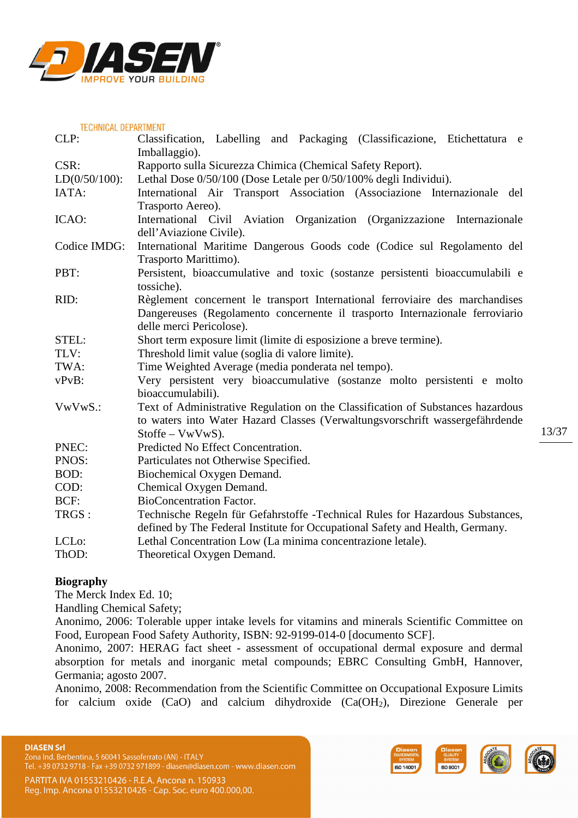

| <b>TECHNICAL DEPARTMENT</b> |                                                                                                                                                                |
|-----------------------------|----------------------------------------------------------------------------------------------------------------------------------------------------------------|
| CLP:                        | Classification, Labelling and Packaging (Classificazione, Etichettatura e<br>Imballaggio).                                                                     |
| CSR:                        | Rapporto sulla Sicurezza Chimica (Chemical Safety Report).                                                                                                     |
| $LD(0/50/100)$ :            | Lethal Dose 0/50/100 (Dose Letale per 0/50/100% degli Individui).                                                                                              |
| IATA:                       | International Air Transport Association (Associazione Internazionale del<br>Trasporto Aereo).                                                                  |
| ICAO:                       | International Civil Aviation Organization (Organizzazione Internazionale                                                                                       |
|                             | dell'Aviazione Civile).                                                                                                                                        |
| Codice IMDG:                | International Maritime Dangerous Goods code (Codice sul Regolamento del                                                                                        |
|                             | Trasporto Marittimo).                                                                                                                                          |
| PBT:                        | Persistent, bioaccumulative and toxic (sostanze persistenti bioaccumulabili e                                                                                  |
|                             | tossiche).                                                                                                                                                     |
| RID:                        | Règlement concernent le transport International ferroviaire des marchandises                                                                                   |
|                             | Dangereuses (Regolamento concernente il trasporto Internazionale ferroviario                                                                                   |
|                             | delle merci Pericolose).                                                                                                                                       |
| STEL:                       | Short term exposure limit (limite di esposizione a breve termine).                                                                                             |
| TLV:                        | Threshold limit value (soglia di valore limite).                                                                                                               |
| TWA:                        | Time Weighted Average (media ponderata nel tempo).                                                                                                             |
| $vPvB$ :                    | Very persistent very bioaccumulative (sostanze molto persistenti e molto                                                                                       |
|                             | bioaccumulabili).                                                                                                                                              |
| VwVwS.:                     | Text of Administrative Regulation on the Classification of Substances hazardous                                                                                |
|                             | to waters into Water Hazard Classes (Verwaltungsvorschrift wassergefährdende                                                                                   |
|                             | $Stoffe - VwVwS$ ).                                                                                                                                            |
| PNEC:                       | Predicted No Effect Concentration.                                                                                                                             |
| PNOS:                       | Particulates not Otherwise Specified.                                                                                                                          |
| BOD:                        | Biochemical Oxygen Demand.                                                                                                                                     |
| COD:                        | Chemical Oxygen Demand.                                                                                                                                        |
| BCF:                        | <b>BioConcentration Factor.</b>                                                                                                                                |
| TRGS :                      | Technische Regeln für Gefahrstoffe -Technical Rules for Hazardous Substances,<br>defined by The Federal Institute for Occupational Safety and Health, Germany. |
| LCL <sub>o</sub> :          | Lethal Concentration Low (La minima concentrazione letale).                                                                                                    |
| ThOD:                       | Theoretical Oxygen Demand.                                                                                                                                     |
|                             |                                                                                                                                                                |

# **Biography**

The Merck Index Ed. 10;

Handling Chemical Safety;

Anonimo, 2006: Tolerable upper intake levels for vitamins and minerals Scientific Committee on Food, European Food Safety Authority, ISBN: 92-9199-014-0 [documento SCF].

Anonimo, 2007: HERAG fact sheet - assessment of occupational dermal exposure and dermal absorption for metals and inorganic metal compounds; EBRC Consulting GmbH, Hannover, Germania; agosto 2007.

Anonimo, 2008: Recommendation from the Scientific Committee on Occupational Exposure Limits for calcium oxide (CaO) and calcium dihydroxide (Ca(OH2), Direzione Generale per





13/37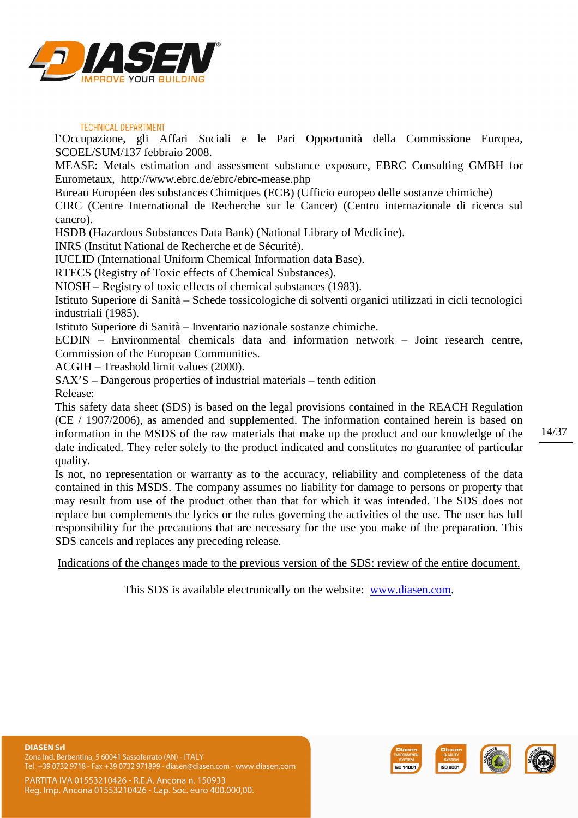

l'Occupazione, gli Affari Sociali e le Pari Opportunità della Commissione Europea, SCOEL/SUM/137 febbraio 2008.

MEASE: Metals estimation and assessment substance exposure, EBRC Consulting GMBH for Eurometaux, http://www.ebrc.de/ebrc/ebrc-mease.php

Bureau Européen des substances Chimiques (ECB) (Ufficio europeo delle sostanze chimiche)

CIRC (Centre International de Recherche sur le Cancer) (Centro internazionale di ricerca sul cancro).

HSDB (Hazardous Substances Data Bank) (National Library of Medicine).

INRS (Institut National de Recherche et de Sécurité).

IUCLID (International Uniform Chemical Information data Base).

RTECS (Registry of Toxic effects of Chemical Substances).

NIOSH – Registry of toxic effects of chemical substances (1983).

Istituto Superiore di Sanità – Schede tossicologiche di solventi organici utilizzati in cicli tecnologici industriali (1985).

Istituto Superiore di Sanità – Inventario nazionale sostanze chimiche.

ECDIN – Environmental chemicals data and information network – Joint research centre, Commission of the European Communities.

ACGIH – Treashold limit values (2000).

SAX'S – Dangerous properties of industrial materials – tenth edition Release:

This safety data sheet (SDS) is based on the legal provisions contained in the REACH Regulation (CE / 1907/2006), as amended and supplemented. The information contained herein is based on information in the MSDS of the raw materials that make up the product and our knowledge of the date indicated. They refer solely to the product indicated and constitutes no guarantee of particular quality.

Is not, no representation or warranty as to the accuracy, reliability and completeness of the data contained in this MSDS. The company assumes no liability for damage to persons or property that may result from use of the product other than that for which it was intended. The SDS does not replace but complements the lyrics or the rules governing the activities of the use. The user has full responsibility for the precautions that are necessary for the use you make of the preparation. This SDS cancels and replaces any preceding release.

Indications of the changes made to the previous version of the SDS: review of the entire document.

This SDS is available electronically on the website: www.diasen.com.



**DIASEN Srl** Zona Ind. Berbentina, 5 60041 Sassoferrato (AN) - ITALY Tel. +39 0732 9718 - Fax +39 0732 971899 - diasen@diasen.com - www.diasen.com

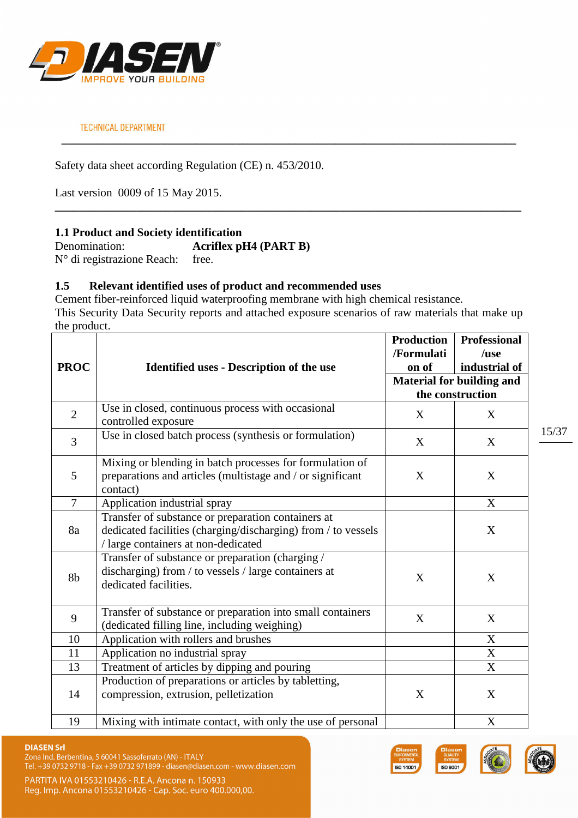

Safety data sheet according Regulation (CE) n. 453/2010.

Last version 0009 of 15 May 2015.

# **1.1 Product and Society identification**

Denomination: **Acriflex pH4 (PART B)** N° di registrazione Reach: free.

# **1.5 Relevant identified uses of product and recommended uses**

Cement fiber-reinforced liquid waterproofing membrane with high chemical resistance. This Security Data Security reports and attached exposure scenarios of raw materials that make up the product.

**\_\_\_\_\_\_\_\_\_\_\_\_\_\_\_\_\_\_\_\_\_\_\_\_\_\_\_\_\_\_\_\_\_\_\_\_\_\_\_\_\_\_\_\_\_\_\_\_\_\_\_\_\_\_\_\_\_\_\_\_\_\_\_\_\_\_\_\_\_\_\_\_\_\_\_\_\_\_**

**\_\_\_\_\_\_\_\_\_\_\_\_\_\_\_\_\_\_\_\_\_\_\_\_\_\_\_\_\_\_\_\_\_\_\_\_\_\_\_\_\_\_\_\_\_\_\_\_\_\_\_\_\_\_\_\_\_\_\_\_\_\_\_\_\_\_\_\_\_\_\_\_\_\_\_\_\_\_\_\_** 

|                |                                                                                                                                                            | <b>Production</b><br>/Formulati | <b>Professional</b><br>/use                          |
|----------------|------------------------------------------------------------------------------------------------------------------------------------------------------------|---------------------------------|------------------------------------------------------|
| <b>PROC</b>    | <b>Identified uses - Description of the use</b>                                                                                                            | on of                           | industrial of                                        |
|                |                                                                                                                                                            |                                 | <b>Material for building and</b><br>the construction |
| $\overline{2}$ | Use in closed, continuous process with occasional<br>controlled exposure                                                                                   | X                               | X                                                    |
| 3              | Use in closed batch process (synthesis or formulation)                                                                                                     | X                               | X                                                    |
| 5              | Mixing or blending in batch processes for formulation of<br>preparations and articles (multistage and / or significant<br>contact)                         | X                               | X                                                    |
| $\overline{7}$ | Application industrial spray                                                                                                                               |                                 | X                                                    |
| 8a             | Transfer of substance or preparation containers at<br>dedicated facilities (charging/discharging) from / to vessels<br>/ large containers at non-dedicated |                                 | X                                                    |
| 8b             | Transfer of substance or preparation (charging /<br>discharging) from / to vessels / large containers at<br>dedicated facilities.                          | X                               | X                                                    |
| 9              | Transfer of substance or preparation into small containers<br>(dedicated filling line, including weighing)                                                 | X                               | X                                                    |
| 10             | Application with rollers and brushes                                                                                                                       |                                 | X                                                    |
| 11             | Application no industrial spray                                                                                                                            |                                 | $\mathbf X$                                          |
| 13             | Treatment of articles by dipping and pouring                                                                                                               |                                 | $\boldsymbol{\mathrm{X}}$                            |
| 14             | Production of preparations or articles by tabletting,<br>compression, extrusion, pelletization                                                             | X                               | X                                                    |
| 19             | Mixing with intimate contact, with only the use of personal                                                                                                |                                 | $\mathbf X$                                          |

Zona Ind. Berbentina, 5 60041 Sassoferrato (AN) - ITALY Tel. +39 0732 9718 - Fax +39 0732 971899 - diasen@diasen.com - www.diasen.com





![](_page_14_Picture_14.jpeg)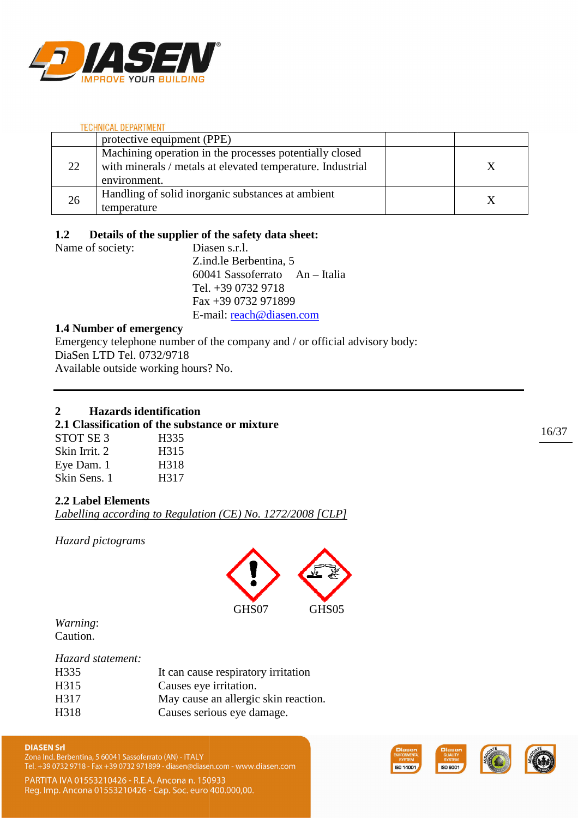![](_page_15_Picture_0.jpeg)

|    | protective equipment (PPE)                                                                                                            |  |
|----|---------------------------------------------------------------------------------------------------------------------------------------|--|
| 22 | Machining operation in the processes potentially closed<br>with minerals / metals at elevated temperature. Industrial<br>environment. |  |
| 26 | Handling of solid inorganic substances at ambient<br>temperature                                                                      |  |

# **1.2 Details of the supplier of the safety data sheet:**

Name of society: Diasen s.r.l. Z.ind.le Berbentina, 5 60041 Sassoferrato Sassoferrato An – Italia Tel. +39 0732 9718 Fax +39 0732 971899 E-mail: reach@diasen.com

# **1.4 Number of emergency**

Emergency telephone number of the company and / or official advisory body: DiaSen LTD Tel. 0732/9718 Available outside working hours? No.

# **2 Hazards identification**

# **2.1 Classification of the substance or mixture**

| STOT SE <sub>3</sub> | H335 |
|----------------------|------|
| Skin Irrit. 2        | H315 |
| Eye Dam. 1           | H318 |
| Skin Sens. 1         | H317 |

# **2.2 Label Elements**

*Labelling according to Regulation (CE) No. 1272/2008 [CLP]*

*Hazard pictograms* 

![](_page_15_Picture_13.jpeg)

*Warning*: Caution.

# *Hazard statement:*

| H335 | It can cause respiratory irritation  |
|------|--------------------------------------|
| H315 | Causes eye irritation.               |
| H317 | May cause an allergic skin reaction. |
| H318 | Causes serious eye damage.           |
|      |                                      |

Zona Ind. Berbentina, 5 60041 Sassoferrato (AN) - ITALY Tel. +39 0732 9718 - Fax +39 0732 971899 - diasen@diasen.com - www.diasen.com

![](_page_15_Picture_20.jpeg)

![](_page_15_Picture_21.jpeg)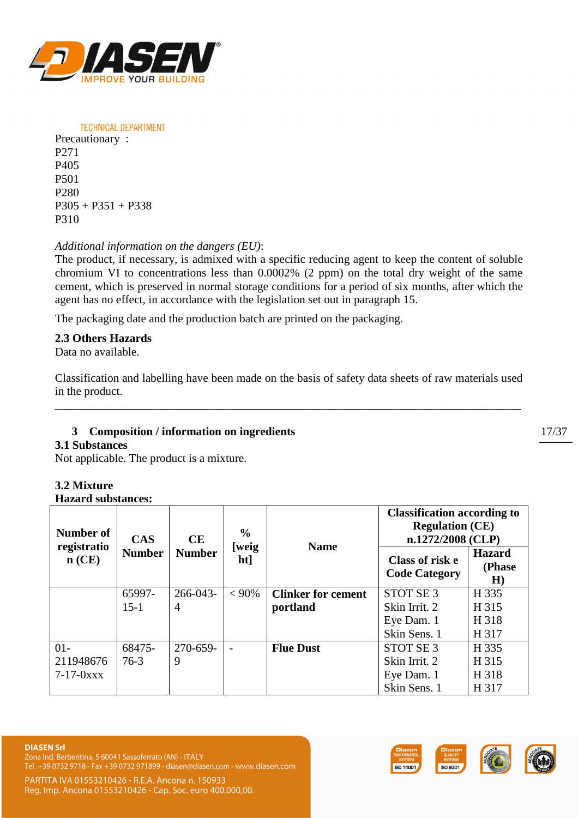![](_page_16_Picture_0.jpeg)

**TECHNICAL DEPARTMENT** Precautionary : P271 P405 P501 P280  $P305 + P351 + P338$ P310

# *Additional information on the dangers (EU)*:

The product, if necessary, is admixed with a specific reducing agent to keep the content of soluble chromium VI to concentrations less than 0.0002% (2 ppm) on the total dry weight of the same cement, which is preserved in normal storage conditions for a period of six months, after which the agent has no effect, in accordance with the legislation set out in paragraph 15.

The packaging date and the production batch are printed on the packaging.

# **2.3 Others Hazards**

Data no available.

Classification and labelling have been made on the basis of safety data sheets of raw materials used in the product.

**\_\_\_\_\_\_\_\_\_\_\_\_\_\_\_\_\_\_\_\_\_\_\_\_\_\_\_\_\_\_\_\_\_\_\_\_\_\_\_\_\_\_\_\_\_\_\_\_\_\_\_\_\_\_\_\_\_\_\_\_\_\_\_\_\_\_\_\_\_\_\_\_\_\_\_\_\_\_\_\_** 

# **3 Composition / information on ingredients**

### **3.1 Substances**

Not applicable. The product is a mixture.

# **3.2 Mixture**

**Hazard substances:** 

| Number of               | <b>CAS</b><br><b>CE</b> |               | $\frac{0}{0}$ | <b>Name</b>               | <b>Classification according to</b><br><b>Regulation (CE)</b><br>$n.1272/2008$ (CLP) |                                |
|-------------------------|-------------------------|---------------|---------------|---------------------------|-------------------------------------------------------------------------------------|--------------------------------|
| registratio<br>$n$ (CE) | <b>Number</b>           | <b>Number</b> | [weig<br>ht]  |                           | Class of risk e<br><b>Code Category</b>                                             | <b>Hazard</b><br>(Phase)<br>H) |
|                         | 65997-                  | 266-043-      | $< 90\%$      | <b>Clinker for cement</b> | STOT SE <sub>3</sub>                                                                | H 335                          |
|                         | $15-1$                  | 4             |               | portland                  | Skin Irrit. 2                                                                       | H 315                          |
|                         |                         |               |               |                           | Eye Dam. 1                                                                          | H 318                          |
|                         |                         |               |               |                           | Skin Sens. 1                                                                        | H 317                          |
| $01 -$                  | 68475-                  | 270-659-      |               | <b>Flue Dust</b>          | STOT SE <sub>3</sub>                                                                | H 335                          |
| 211948676               | $76-3$                  | 9             |               |                           | Skin Irrit. 2                                                                       | H 315                          |
| $7 - 17 - 0xxx$         |                         |               |               |                           | Eye Dam. 1                                                                          | H 318                          |
|                         |                         |               |               |                           | Skin Sens. 1                                                                        | H 317                          |

Zona Ind. Berbentina, 5 60041 Sassoferrato (AN) - ITALY Tel. +39 0732 9718 - Fax +39 0732 971899 - diasen@diasen.com - www.diasen.com

![](_page_16_Picture_17.jpeg)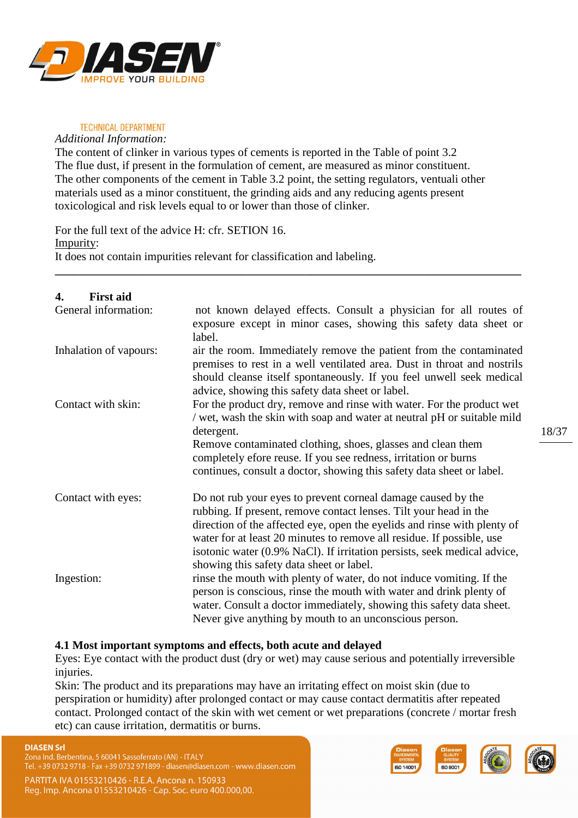![](_page_17_Picture_0.jpeg)

*Additional Information:* 

The content of clinker in various types of cements is reported in the Table of point 3.2 The flue dust, if present in the formulation of cement, are measured as minor constituent. The other components of the cement in Table 3.2 point, the setting regulators, ventuali other materials used as a minor constituent, the grinding aids and any reducing agents present toxicological and risk levels equal to or lower than those of clinker.

**\_\_\_\_\_\_\_\_\_\_\_\_\_\_\_\_\_\_\_\_\_\_\_\_\_\_\_\_\_\_\_\_\_\_\_\_\_\_\_\_\_\_\_\_\_\_\_\_\_\_\_\_\_\_\_\_\_\_\_\_\_\_\_\_\_\_\_\_\_\_\_\_\_\_\_\_\_\_\_\_** 

For the full text of the advice H: cfr. SETION 16. Impurity: It does not contain impurities relevant for classification and labeling.

| <b>First aid</b><br>4. |                                                                                                                                                                                                                                                                                                                                                                                                                |
|------------------------|----------------------------------------------------------------------------------------------------------------------------------------------------------------------------------------------------------------------------------------------------------------------------------------------------------------------------------------------------------------------------------------------------------------|
| General information:   | not known delayed effects. Consult a physician for all routes of<br>exposure except in minor cases, showing this safety data sheet or<br>label.                                                                                                                                                                                                                                                                |
| Inhalation of vapours: | air the room. Immediately remove the patient from the contaminated<br>premises to rest in a well ventilated area. Dust in throat and nostrils<br>should cleanse itself spontaneously. If you feel unwell seek medical<br>advice, showing this safety data sheet or label.                                                                                                                                      |
| Contact with skin:     | For the product dry, remove and rinse with water. For the product wet<br>wet, wash the skin with soap and water at neutral pH or suitable mild<br>detergent.<br>Remove contaminated clothing, shoes, glasses and clean them                                                                                                                                                                                    |
|                        | completely efore reuse. If you see redness, irritation or burns<br>continues, consult a doctor, showing this safety data sheet or label.                                                                                                                                                                                                                                                                       |
| Contact with eyes:     | Do not rub your eyes to prevent corneal damage caused by the<br>rubbing. If present, remove contact lenses. Tilt your head in the<br>direction of the affected eye, open the eyelids and rinse with plenty of<br>water for at least 20 minutes to remove all residue. If possible, use<br>isotonic water (0.9% NaCl). If irritation persists, seek medical advice,<br>showing this safety data sheet or label. |
| Ingestion:             | rinse the mouth with plenty of water, do not induce vomiting. If the<br>person is conscious, rinse the mouth with water and drink plenty of<br>water. Consult a doctor immediately, showing this safety data sheet.<br>Never give anything by mouth to an unconscious person.                                                                                                                                  |

### **4.1 Most important symptoms and effects, both acute and delayed**

Eyes: Eye contact with the product dust (dry or wet) may cause serious and potentially irreversible injuries.

Skin: The product and its preparations may have an irritating effect on moist skin (due to perspiration or humidity) after prolonged contact or may cause contact dermatitis after repeated contact. Prolonged contact of the skin with wet cement or wet preparations (concrete / mortar fresh etc) can cause irritation, dermatitis or burns.

![](_page_17_Picture_10.jpeg)

![](_page_17_Picture_11.jpeg)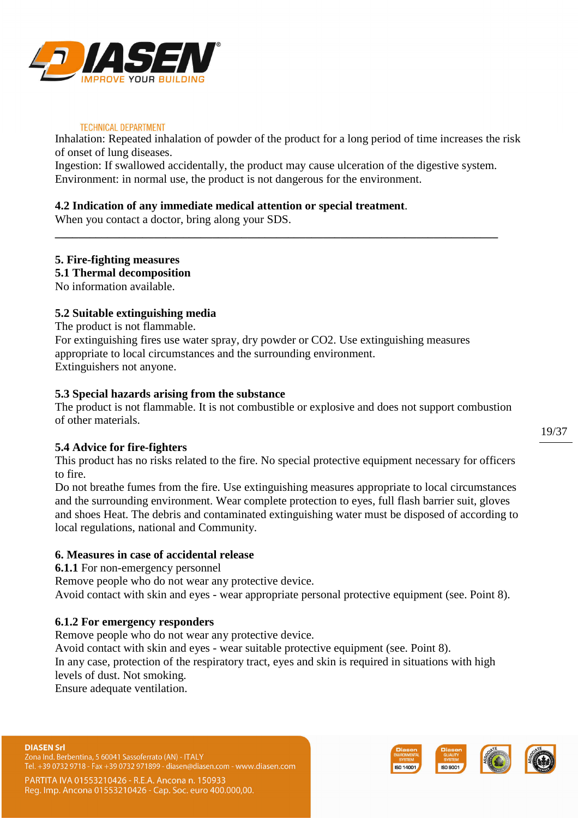![](_page_18_Picture_0.jpeg)

Inhalation: Repeated inhalation of powder of the product for a long period of time increases the risk of onset of lung diseases.

Ingestion: If swallowed accidentally, the product may cause ulceration of the digestive system. Environment: in normal use, the product is not dangerous for the environment.

**\_\_\_\_\_\_\_\_\_\_\_\_\_\_\_\_\_\_\_\_\_\_\_\_\_\_\_\_\_\_\_\_\_\_\_\_\_\_\_\_\_\_\_\_\_\_\_\_\_\_\_\_\_\_\_\_\_\_\_\_\_\_\_\_\_\_\_\_\_\_\_\_\_\_\_\_** 

# **4.2 Indication of any immediate medical attention or special treatment**.

When you contact a doctor, bring along your SDS.

# **5. Fire-fighting measures**

**5.1 Thermal decomposition**

No information available.

# **5.2 Suitable extinguishing media**

The product is not flammable.

For extinguishing fires use water spray, dry powder or CO2. Use extinguishing measures appropriate to local circumstances and the surrounding environment. Extinguishers not anyone.

# **5.3 Special hazards arising from the substance**

The product is not flammable. It is not combustible or explosive and does not support combustion of other materials.

### **5.4 Advice for fire-fighters**

This product has no risks related to the fire. No special protective equipment necessary for officers to fire.

Do not breathe fumes from the fire. Use extinguishing measures appropriate to local circumstances and the surrounding environment. Wear complete protection to eyes, full flash barrier suit, gloves and shoes Heat. The debris and contaminated extinguishing water must be disposed of according to local regulations, national and Community.

# **6. Measures in case of accidental release**

**6.1.1** For non-emergency personnel

Remove people who do not wear any protective device.

Avoid contact with skin and eyes - wear appropriate personal protective equipment (see. Point 8).

### **6.1.2 For emergency responders**

Remove people who do not wear any protective device.

Avoid contact with skin and eyes - wear suitable protective equipment (see. Point 8).

In any case, protection of the respiratory tract, eyes and skin is required in situations with high levels of dust. Not smoking.

Ensure adequate ventilation.

Zona Ind. Berbentina, 5 60041 Sassoferrato (AN) - ITALY . +39 0732 9718 - Fax +39 0732 971899 - diasen@diasen.com - www.diasen.com

![](_page_18_Picture_29.jpeg)

![](_page_18_Picture_30.jpeg)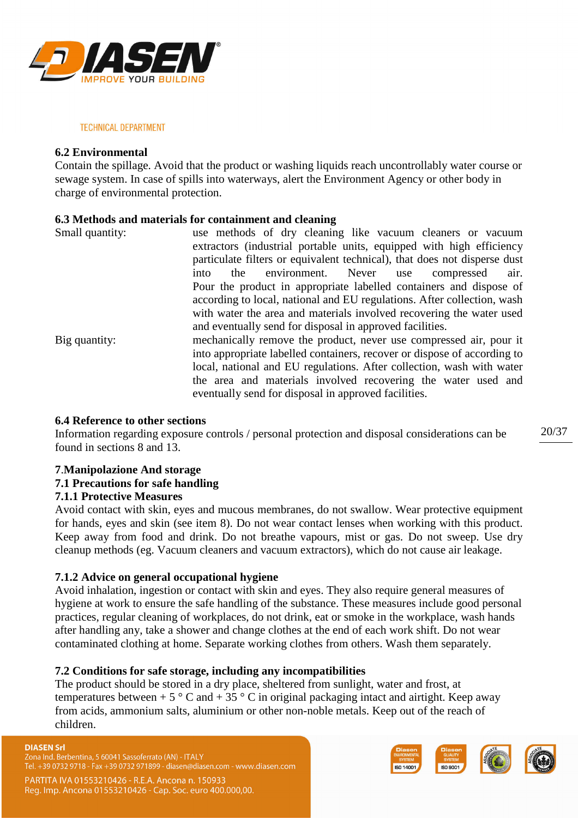![](_page_19_Picture_0.jpeg)

### **6.2 Environmental**

Contain the spillage. Avoid that the product or washing liquids reach uncontrollably water course or sewage system. In case of spills into waterways, alert the Environment Agency or other body in charge of environmental protection.

### **6.3 Methods and materials for containment and cleaning**

| extractors (industrial portable units, equipped with high efficiency      |  |  |  |
|---------------------------------------------------------------------------|--|--|--|
|                                                                           |  |  |  |
| particulate filters or equivalent technical), that does not disperse dust |  |  |  |
| air.                                                                      |  |  |  |
| Pour the product in appropriate labelled containers and dispose of        |  |  |  |
| according to local, national and EU regulations. After collection, wash   |  |  |  |
| with water the area and materials involved recovering the water used      |  |  |  |
|                                                                           |  |  |  |
| mechanically remove the product, never use compressed air, pour it        |  |  |  |
| into appropriate labelled containers, recover or dispose of according to  |  |  |  |
| local, national and EU regulations. After collection, wash with water     |  |  |  |
| the area and materials involved recovering the water used and             |  |  |  |
|                                                                           |  |  |  |
|                                                                           |  |  |  |

### **6.4 Reference to other sections**

Information regarding exposure controls / personal protection and disposal considerations can be found in sections 8 and 13.

### **7**.**Manipolazione And storage**

### **7.1 Precautions for safe handling**

### **7.1.1 Protective Measures**

Avoid contact with skin, eyes and mucous membranes, do not swallow. Wear protective equipment for hands, eyes and skin (see item 8). Do not wear contact lenses when working with this product. Keep away from food and drink. Do not breathe vapours, mist or gas. Do not sweep. Use dry cleanup methods (eg. Vacuum cleaners and vacuum extractors), which do not cause air leakage.

### **7.1.2 Advice on general occupational hygiene**

Avoid inhalation, ingestion or contact with skin and eyes. They also require general measures of hygiene at work to ensure the safe handling of the substance. These measures include good personal practices, regular cleaning of workplaces, do not drink, eat or smoke in the workplace, wash hands after handling any, take a shower and change clothes at the end of each work shift. Do not wear contaminated clothing at home. Separate working clothes from others. Wash them separately.

### **7.2 Conditions for safe storage, including any incompatibilities**

The product should be stored in a dry place, sheltered from sunlight, water and frost, at temperatures between + 5  $\degree$  C and + 35  $\degree$  C in original packaging intact and airtight. Keep away from acids, ammonium salts, aluminium or other non-noble metals. Keep out of the reach of children.

#### **DIASEN Srl**

Zona Ind. Berbentina, 5 60041 Sassoferrato (AN) - ITALY Tel. +39 0732 9718 - Fax +39 0732 971899 - diasen@diasen.com - www.diasen.com

PARTITA IVA 01553210426 - R.E.A. Ancona n. 150933 Reg. Imp. Ancona 01553210426 - Cap. Soc. euro 400.000,00.

![](_page_19_Picture_19.jpeg)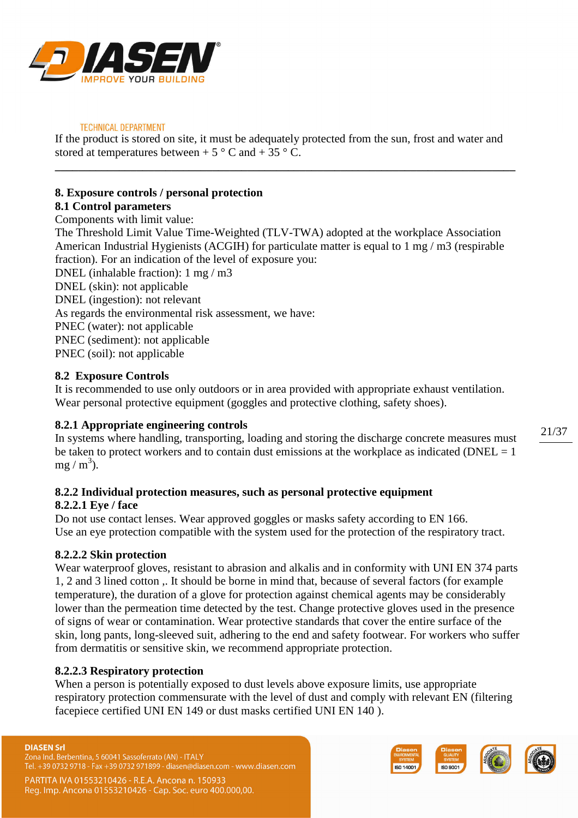![](_page_20_Picture_0.jpeg)

If the product is stored on site, it must be adequately protected from the sun, frost and water and stored at temperatures between  $+ 5^{\circ}$  C and  $+ 35^{\circ}$  C.

**\_\_\_\_\_\_\_\_\_\_\_\_\_\_\_\_\_\_\_\_\_\_\_\_\_\_\_\_\_\_\_\_\_\_\_\_\_\_\_\_\_\_\_\_\_\_\_\_\_\_\_\_\_\_\_\_\_\_\_\_\_\_\_\_\_\_\_\_\_\_\_\_\_\_\_\_\_\_\_** 

# **8. Exposure controls / personal protection**

#### **8.1 Control parameters**  Components with limit value:

The Threshold Limit Value Time-Weighted (TLV-TWA) adopted at the workplace Association American Industrial Hygienists (ACGIH) for particulate matter is equal to 1 mg / m3 (respirable fraction). For an indication of the level of exposure you:

DNEL (inhalable fraction): 1 mg / m3 DNEL (skin): not applicable DNEL (ingestion): not relevant As regards the environmental risk assessment, we have: PNEC (water): not applicable PNEC (sediment): not applicable PNEC (soil): not applicable

# **8.2 Exposure Controls**

It is recommended to use only outdoors or in area provided with appropriate exhaust ventilation. Wear personal protective equipment (goggles and protective clothing, safety shoes).

# **8.2.1 Appropriate engineering controls**

In systems where handling, transporting, loading and storing the discharge concrete measures must be taken to protect workers and to contain dust emissions at the workplace as indicated ( $DNEL = 1$  $mg/m^3$ ).

# **8.2.2 Individual protection measures, such as personal protective equipment**

# **8.2.2.1 Eye / face**

Do not use contact lenses. Wear approved goggles or masks safety according to EN 166. Use an eye protection compatible with the system used for the protection of the respiratory tract.

# **8.2.2.2 Skin protection**

Wear waterproof gloves, resistant to abrasion and alkalis and in conformity with UNI EN 374 parts 1, 2 and 3 lined cotton ,. It should be borne in mind that, because of several factors (for example temperature), the duration of a glove for protection against chemical agents may be considerably lower than the permeation time detected by the test. Change protective gloves used in the presence of signs of wear or contamination. Wear protective standards that cover the entire surface of the skin, long pants, long-sleeved suit, adhering to the end and safety footwear. For workers who suffer from dermatitis or sensitive skin, we recommend appropriate protection.

# **8.2.2.3 Respiratory protection**

When a person is potentially exposed to dust levels above exposure limits, use appropriate respiratory protection commensurate with the level of dust and comply with relevant EN (filtering facepiece certified UNI EN 149 or dust masks certified UNI EN 140 ).

### **DIASEN Srl**

Zona Ind. Berbentina, 5 60041 Sassoferrato (AN) - ITALY . +39 0732 9718 - Fax +39 0732 971899 - diasen@diasen.com - www.diasen.com

![](_page_20_Picture_21.jpeg)

![](_page_20_Picture_22.jpeg)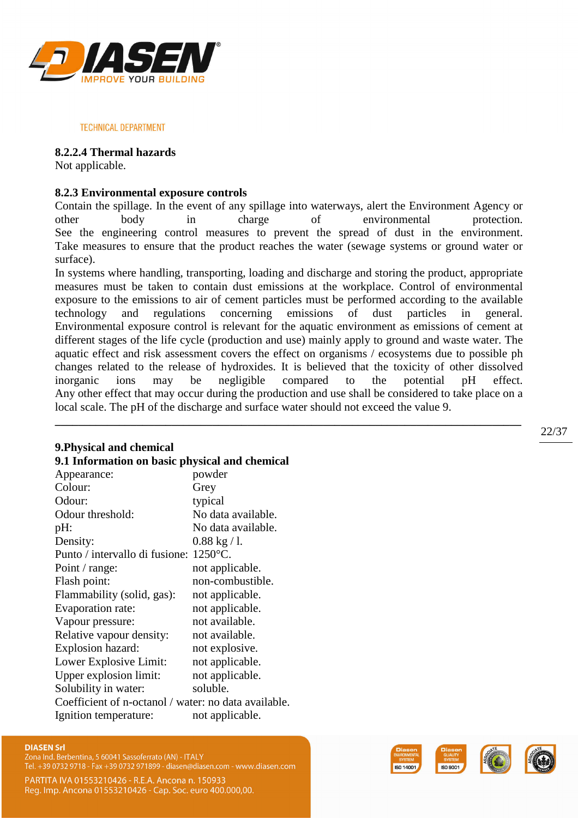![](_page_21_Picture_0.jpeg)

### **8.2.2.4 Thermal hazards**

Not applicable.

# **8.2.3 Environmental exposure controls**

Contain the spillage. In the event of any spillage into waterways, alert the Environment Agency or other body in charge of environmental protection. See the engineering control measures to prevent the spread of dust in the environment. Take measures to ensure that the product reaches the water (sewage systems or ground water or surface).

In systems where handling, transporting, loading and discharge and storing the product, appropriate measures must be taken to contain dust emissions at the workplace. Control of environmental exposure to the emissions to air of cement particles must be performed according to the available technology and regulations concerning emissions of dust particles in general. Environmental exposure control is relevant for the aquatic environment as emissions of cement at different stages of the life cycle (production and use) mainly apply to ground and waste water. The aquatic effect and risk assessment covers the effect on organisms / ecosystems due to possible ph changes related to the release of hydroxides. It is believed that the toxicity of other dissolved inorganic ions may be negligible compared to the potential pH effect. Any other effect that may occur during the production and use shall be considered to take place on a local scale. The pH of the discharge and surface water should not exceed the value 9.

**\_\_\_\_\_\_\_\_\_\_\_\_\_\_\_\_\_\_\_\_\_\_\_\_\_\_\_\_\_\_\_\_\_\_\_\_\_\_\_\_\_\_\_\_\_\_\_\_\_\_\_\_\_\_\_\_\_\_\_\_\_\_\_\_\_\_\_\_\_\_\_\_\_\_\_\_\_\_\_\_**

### **9.Physical and chemical**

# **9.1 Information on basic physical and chemical**

| Appearance:                                          | powder                 |
|------------------------------------------------------|------------------------|
| Colour:                                              | Grey                   |
| Odour:                                               | typical                |
| Odour threshold:                                     | No data available.     |
| pH:                                                  | No data available.     |
| Density:                                             | $0.88 \text{ kg} / 1.$ |
| Punto / intervallo di fusione:                       | $1250^{\circ}$ C.      |
| Point / range:                                       | not applicable.        |
| Flash point:                                         | non-combustible.       |
| Flammability (solid, gas):                           | not applicable.        |
| Evaporation rate:                                    | not applicable.        |
| Vapour pressure:                                     | not available.         |
| Relative vapour density:                             | not available.         |
| Explosion hazard:                                    | not explosive.         |
| Lower Explosive Limit:                               | not applicable.        |
| Upper explosion limit:                               | not applicable.        |
| Solubility in water:                                 | soluble.               |
| Coefficient of n-octanol / water: no data available. |                        |
| Ignition temperature:                                | not applicable.        |
|                                                      |                        |

# **DIASEN Srl**

Zona Ind. Berbentina, 5 60041 Sassoferrato (AN) - ITALY Tel. +39 0732 9718 - Fax +39 0732 971899 - diasen@diasen.com - www.diasen.com

PARTITA IVA 01553210426 - R.E.A. Ancona n. 150933 Reg. Imp. Ancona 01553210426 - Cap. Soc. euro 400.000,00.

![](_page_21_Picture_13.jpeg)

![](_page_21_Picture_14.jpeg)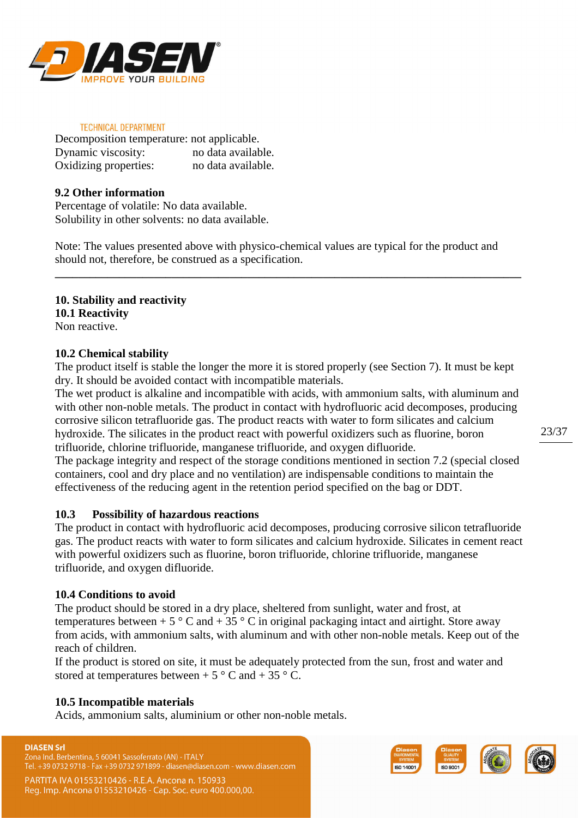![](_page_22_Picture_0.jpeg)

| Decomposition temperature: not applicable. |                    |
|--------------------------------------------|--------------------|
| Dynamic viscosity:                         | no data available. |
| Oxidizing properties:                      | no data available. |

### **9.2 Other information**

Percentage of volatile: No data available. Solubility in other solvents: no data available.

Note: The values presented above with physico-chemical values are typical for the product and should not, therefore, be construed as a specification.

**\_\_\_\_\_\_\_\_\_\_\_\_\_\_\_\_\_\_\_\_\_\_\_\_\_\_\_\_\_\_\_\_\_\_\_\_\_\_\_\_\_\_\_\_\_\_\_\_\_\_\_\_\_\_\_\_\_\_\_\_\_\_\_\_\_\_\_\_\_\_\_\_\_\_\_\_\_\_\_\_** 

### **10. Stability and reactivity 10.1 Reactivity**

Non reactive.

# **10.2 Chemical stability**

The product itself is stable the longer the more it is stored properly (see Section 7). It must be kept dry. It should be avoided contact with incompatible materials.

The wet product is alkaline and incompatible with acids, with ammonium salts, with aluminum and with other non-noble metals. The product in contact with hydrofluoric acid decomposes, producing corrosive silicon tetrafluoride gas. The product reacts with water to form silicates and calcium hydroxide. The silicates in the product react with powerful oxidizers such as fluorine, boron trifluoride, chlorine trifluoride, manganese trifluoride, and oxygen difluoride.

The package integrity and respect of the storage conditions mentioned in section 7.2 (special closed containers, cool and dry place and no ventilation) are indispensable conditions to maintain the effectiveness of the reducing agent in the retention period specified on the bag or DDT.

### **10.3 Possibility of hazardous reactions**

The product in contact with hydrofluoric acid decomposes, producing corrosive silicon tetrafluoride gas. The product reacts with water to form silicates and calcium hydroxide. Silicates in cement react with powerful oxidizers such as fluorine, boron trifluoride, chlorine trifluoride, manganese trifluoride, and oxygen difluoride.

### **10.4 Conditions to avoid**

The product should be stored in a dry place, sheltered from sunlight, water and frost, at temperatures between + 5  $\degree$  C and + 35  $\degree$  C in original packaging intact and airtight. Store away from acids, with ammonium salts, with aluminum and with other non-noble metals. Keep out of the reach of children.

If the product is stored on site, it must be adequately protected from the sun, frost and water and stored at temperatures between  $+ 5^{\circ}$  C and  $+ 35^{\circ}$  C.

### **10.5 Incompatible materials**

Acids, ammonium salts, aluminium or other non-noble metals.

### **DIASEN Srl**

Zona Ind. Berbentina, 5 60041 Sassoferrato (AN) - ITALY Tel. +39 0732 9718 - Fax +39 0732 971899 - diasen@diasen.com - www.diasen.com

![](_page_22_Picture_22.jpeg)

![](_page_22_Picture_23.jpeg)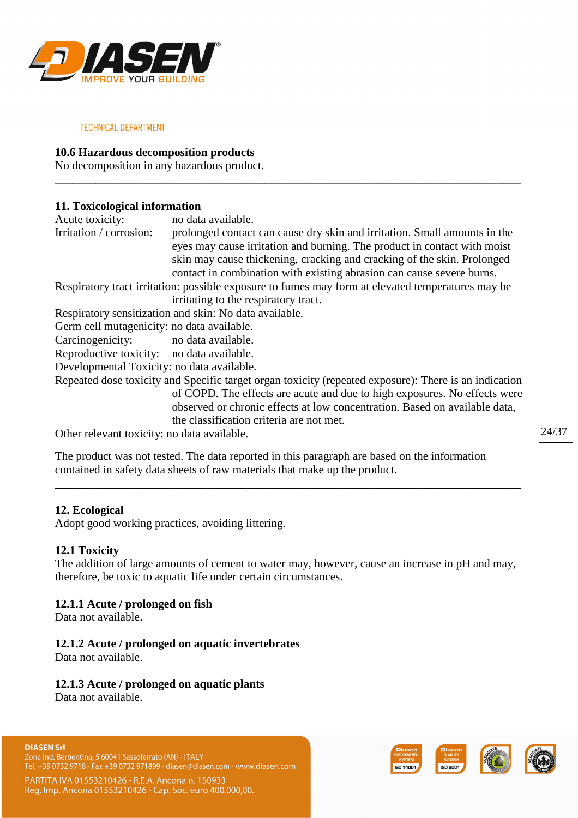![](_page_23_Picture_0.jpeg)

# **10.6 Hazardous decomposition products**

No decomposition in any hazardous product.

# **11. Toxicological information**

| Acute toxicity:                            | no data available.                                                                                    |
|--------------------------------------------|-------------------------------------------------------------------------------------------------------|
| Irritation / corrosion:                    | prolonged contact can cause dry skin and irritation. Small amounts in the                             |
|                                            | eyes may cause irritation and burning. The product in contact with moist                              |
|                                            | skin may cause thickening, cracking and cracking of the skin. Prolonged                               |
|                                            |                                                                                                       |
|                                            | contact in combination with existing abrasion can cause severe burns.                                 |
|                                            | Respiratory tract irritation: possible exposure to fumes may form at elevated temperatures may be     |
|                                            | irritating to the respiratory tract.                                                                  |
|                                            | Respiratory sensitization and skin: No data available.                                                |
| Germ cell mutagenicity: no data available. |                                                                                                       |
| Carcinogenicity: no data available.        |                                                                                                       |
| Reproductive toxicity: no data available.  |                                                                                                       |
| Developmental Toxicity: no data available. |                                                                                                       |
|                                            | Repeated dose toxicity and Specific target organ toxicity (repeated exposure): There is an indication |
|                                            | of COPD. The effects are acute and due to high exposures. No effects were                             |
|                                            | observed or chronic effects at low concentration. Based on available data,                            |
|                                            | the classification criteria are not met.                                                              |

**\_\_\_\_\_\_\_\_\_\_\_\_\_\_\_\_\_\_\_\_\_\_\_\_\_\_\_\_\_\_\_\_\_\_\_\_\_\_\_\_\_\_\_\_\_\_\_\_\_\_\_\_\_\_\_\_\_\_\_\_\_\_\_\_\_\_\_\_\_\_\_\_\_\_\_\_\_\_\_\_** 

Other relevant toxicity: no data available.

The product was not tested. The data reported in this paragraph are based on the information contained in safety data sheets of raw materials that make up the product.

### **12. Ecological**

Adopt good working practices, avoiding littering.

### **12.1 Toxicity**

The addition of large amounts of cement to water may, however, cause an increase in pH and may, therefore, be toxic to aquatic life under certain circumstances.

**\_\_\_\_\_\_\_\_\_\_\_\_\_\_\_\_\_\_\_\_\_\_\_\_\_\_\_\_\_\_\_\_\_\_\_\_\_\_\_\_\_\_\_\_\_\_\_\_\_\_\_\_\_\_\_\_\_\_\_\_\_\_\_\_\_\_\_\_\_\_\_\_\_\_\_\_\_\_\_\_** 

# **12.1.1 Acute / prolonged on fish**

Data not available.

# **12.1.2 Acute / prolonged on aquatic invertebrates**

Data not available.

# **12.1.3 Acute / prolonged on aquatic plants**

Data not available.

PARTITA IVA 01553210426 - R.E.A. Ancona n. 150933 Reg. Imp. Ancona 01553210426 - Cap. Soc. euro 400.000,00.

![](_page_23_Picture_20.jpeg)

![](_page_23_Picture_21.jpeg)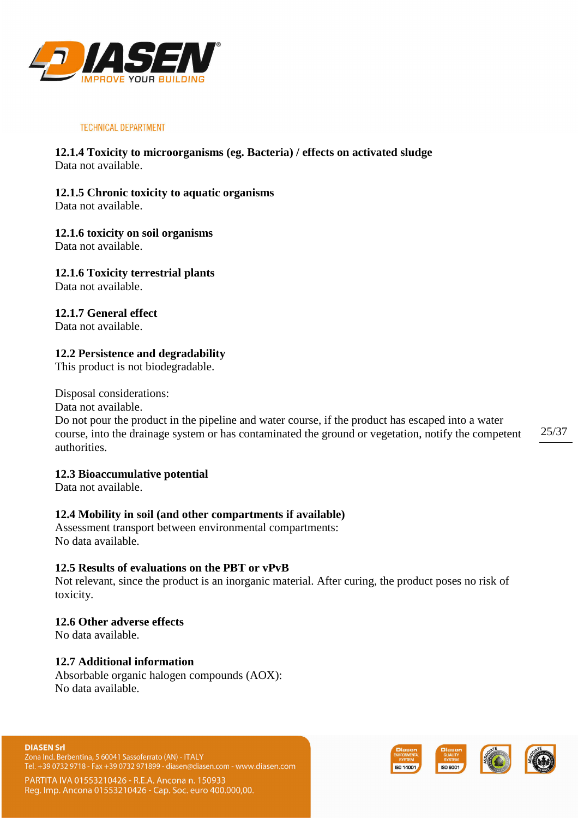![](_page_24_Picture_0.jpeg)

# **12.1.4 Toxicity to microorganisms (eg. Bacteria) / effects on activated sludge**  Data not available.

**12.1.5 Chronic toxicity to aquatic organisms** 

Data not available.

# **12.1.6 toxicity on soil organisms**

Data not available.

# **12.1.6 Toxicity terrestrial plants**

Data not available.

# **12.1.7 General effect**

Data not available.

# **12.2 Persistence and degradability**

This product is not biodegradable.

Disposal considerations:

Data not available.

25/37 Do not pour the product in the pipeline and water course, if the product has escaped into a water course, into the drainage system or has contaminated the ground or vegetation, notify the competent authorities.

# **12.3 Bioaccumulative potential**

Data not available.

# **12.4 Mobility in soil (and other compartments if available)**

Assessment transport between environmental compartments: No data available.

# **12.5 Results of evaluations on the PBT or vPvB**

Not relevant, since the product is an inorganic material. After curing, the product poses no risk of toxicity.

# **12.6 Other adverse effects**

No data available.

# **12.7 Additional information**

Absorbable organic halogen compounds (AOX): No data available.

Zona Ind. Berbentina, 5 60041 Sassoferrato (AN) - ITALY Tel. +39 0732 9718 - Fax +39 0732 971899 - diasen@diasen.com - www.diasen.com

![](_page_24_Picture_29.jpeg)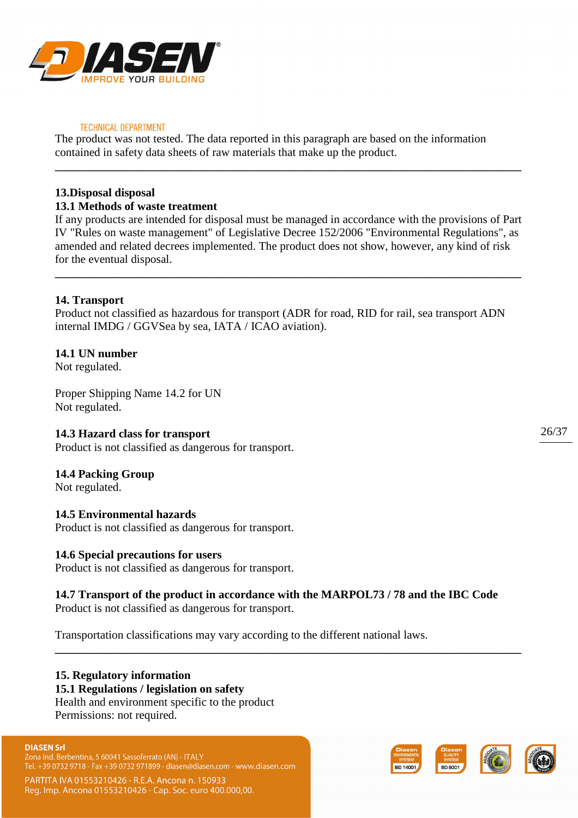![](_page_25_Picture_0.jpeg)

The product was not tested. The data reported in this paragraph are based on the information contained in safety data sheets of raw materials that make up the product.

# **13.Disposal disposal**

# **13.1 Methods of waste treatment**

If any products are intended for disposal must be managed in accordance with the provisions of Part IV "Rules on waste management" of Legislative Decree 152/2006 "Environmental Regulations", as amended and related decrees implemented. The product does not show, however, any kind of risk for the eventual disposal.

**\_\_\_\_\_\_\_\_\_\_\_\_\_\_\_\_\_\_\_\_\_\_\_\_\_\_\_\_\_\_\_\_\_\_\_\_\_\_\_\_\_\_\_\_\_\_\_\_\_\_\_\_\_\_\_\_\_\_\_\_\_\_\_\_\_\_\_\_\_\_\_\_\_\_\_\_\_\_\_\_** 

**\_\_\_\_\_\_\_\_\_\_\_\_\_\_\_\_\_\_\_\_\_\_\_\_\_\_\_\_\_\_\_\_\_\_\_\_\_\_\_\_\_\_\_\_\_\_\_\_\_\_\_\_\_\_\_\_\_\_\_\_\_\_\_\_\_\_\_\_\_\_\_\_\_\_\_\_\_\_\_\_** 

# **14. Transport**

Product not classified as hazardous for transport (ADR for road, RID for rail, sea transport ADN internal IMDG / GGVSea by sea, IATA / ICAO aviation).

# **14.1 UN number**

Not regulated.

Proper Shipping Name 14.2 for UN Not regulated.

### **14.3 Hazard class for transport**

Product is not classified as dangerous for transport.

### **14.4 Packing Group**

Not regulated.

### **14.5 Environmental hazards**

Product is not classified as dangerous for transport.

### **14.6 Special precautions for users**

Product is not classified as dangerous for transport.

# **14.7 Transport of the product in accordance with the MARPOL73 / 78 and the IBC Code**

**\_\_\_\_\_\_\_\_\_\_\_\_\_\_\_\_\_\_\_\_\_\_\_\_\_\_\_\_\_\_\_\_\_\_\_\_\_\_\_\_\_\_\_\_\_\_\_\_\_\_\_\_\_\_\_\_\_\_\_\_\_\_\_\_\_\_\_\_\_\_\_\_\_\_\_\_\_\_\_\_**

Product is not classified as dangerous for transport.

Transportation classifications may vary according to the different national laws.

# **15. Regulatory information**

### **15.1 Regulations / legislation on safety**

Health and environment specific to the product Permissions: not required.

#### **DIASEN Srl**

Zona Ind. Berbentina, 5 60041 Sassoferrato (AN) - ITALY Tel. +39 0732 9718 - Fax +39 0732 971899 - diasen@diasen.com - www.diasen.com

PARTITA IVA 01553210426 - R.E.A. Ancona n. 150933 Reg. Imp. Ancona 01553210426 - Cap. Soc. euro 400.000,00.

![](_page_25_Picture_28.jpeg)

![](_page_25_Picture_29.jpeg)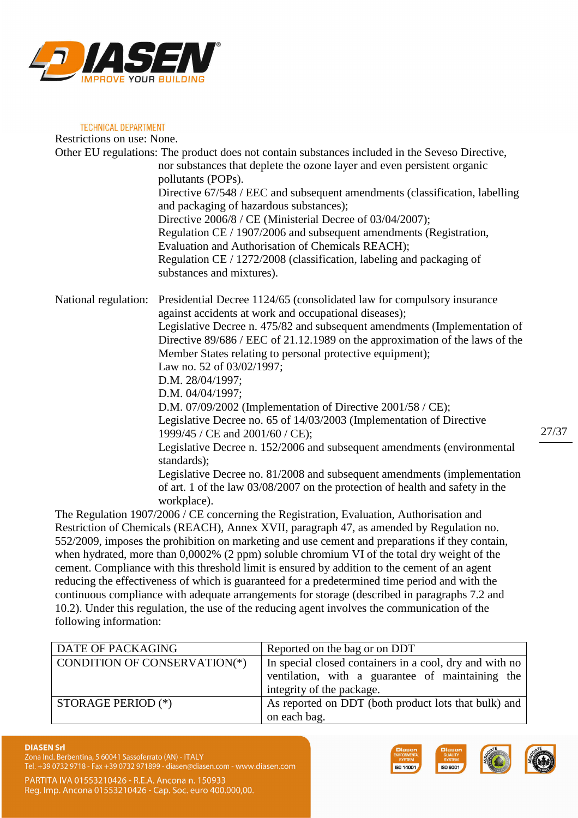![](_page_26_Picture_0.jpeg)

**TECHNICAL DEPARTMENT** Restrictions on use: None. Other EU regulations: The product does not contain substances included in the Seveso Directive, nor substances that deplete the ozone layer and even persistent organic pollutants (POPs). Directive 67/548 / EEC and subsequent amendments (classification, labelling and packaging of hazardous substances); Directive 2006/8 / CE (Ministerial Decree of 03/04/2007); Regulation CE / 1907/2006 and subsequent amendments (Registration, Evaluation and Authorisation of Chemicals REACH); Regulation CE / 1272/2008 (classification, labeling and packaging of substances and mixtures). National regulation: Presidential Decree 1124/65 (consolidated law for compulsory insurance against accidents at work and occupational diseases); Legislative Decree n. 475/82 and subsequent amendments (Implementation of Directive 89/686 / EEC of 21.12.1989 on the approximation of the laws of the Member States relating to personal protective equipment); Law no. 52 of 03/02/1997; D.M. 28/04/1997; D.M. 04/04/1997; D.M. 07/09/2002 (Implementation of Directive 2001/58 / CE); Legislative Decree no. 65 of 14/03/2003 (Implementation of Directive 1999/45 / CE and 2001/60 / CE); Legislative Decree n. 152/2006 and subsequent amendments (environmental standards); Legislative Decree no. 81/2008 and subsequent amendments (implementation of art. 1 of the law 03/08/2007 on the protection of health and safety in the

workplace). The Regulation 1907/2006 / CE concerning the Registration, Evaluation, Authorisation and Restriction of Chemicals (REACH), Annex XVII, paragraph 47, as amended by Regulation no. 552/2009, imposes the prohibition on marketing and use cement and preparations if they contain, when hydrated, more than 0,0002% (2 ppm) soluble chromium VI of the total dry weight of the cement. Compliance with this threshold limit is ensured by addition to the cement of an agent

reducing the effectiveness of which is guaranteed for a predetermined time period and with the continuous compliance with adequate arrangements for storage (described in paragraphs 7.2 and 10.2). Under this regulation, the use of the reducing agent involves the communication of the following information:

| DATE OF PACKAGING                   | Reported on the bag or on DDT                           |
|-------------------------------------|---------------------------------------------------------|
| <b>CONDITION OF CONSERVATION(*)</b> | In special closed containers in a cool, dry and with no |
|                                     | ventilation, with a guarantee of maintaining the        |
|                                     | integrity of the package.                               |
| STORAGE PERIOD $(*)$                | As reported on DDT (both product lots that bulk) and    |
|                                     | on each bag.                                            |

#### **DIASEN Srl**

Zona Ind. Berbentina, 5 60041 Sassoferrato (AN) - ITALY . +39 0732 9718 - Fax +39 0732 971899 - diasen@diasen.com - www.diasen.com

![](_page_26_Picture_7.jpeg)

![](_page_26_Picture_8.jpeg)

27/37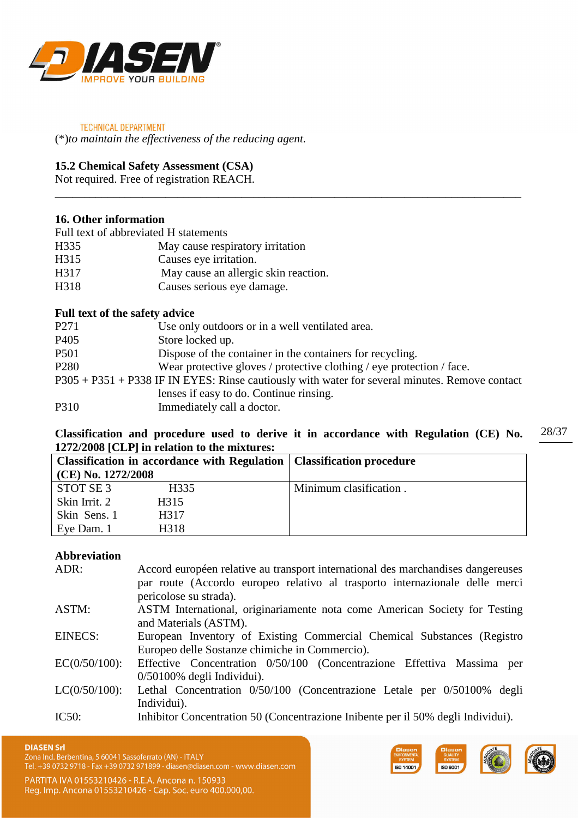![](_page_27_Picture_0.jpeg)

(\*)*to maintain the effectiveness of the reducing agent.* 

# **15.2 Chemical Safety Assessment (CSA)**

Not required. Free of registration REACH.

# **16. Other information**

Full text of abbreviated H statements

| H335 | May cause respiratory irritation |  |
|------|----------------------------------|--|
|      |                                  |  |

- H315 Causes eye irritation.
- H317 May cause an allergic skin reaction.
- H318 Causes serious eye damage.

### **Full text of the safety advice**

| P <sub>271</sub>                                                                               | Use only outdoors or in a well ventilated area.                       |  |  |  |
|------------------------------------------------------------------------------------------------|-----------------------------------------------------------------------|--|--|--|
| P <sub>405</sub>                                                                               | Store locked up.                                                      |  |  |  |
| P <sub>501</sub>                                                                               | Dispose of the container in the containers for recycling.             |  |  |  |
| P <sub>280</sub>                                                                               | Wear protective gloves / protective clothing / eye protection / face. |  |  |  |
| P305 + P351 + P338 IF IN EYES: Rinse cautiously with water for several minutes. Remove contact |                                                                       |  |  |  |
|                                                                                                | lenses if easy to do. Continue rinsing.                               |  |  |  |
| P310                                                                                           | Immediately call a doctor.                                            |  |  |  |

\_\_\_\_\_\_\_\_\_\_\_\_\_\_\_\_\_\_\_\_\_\_\_\_\_\_\_\_\_\_\_\_\_\_\_\_\_\_\_\_\_\_\_\_\_\_\_\_\_\_\_\_\_\_\_\_\_\_\_\_\_\_\_\_\_\_\_\_\_\_\_\_\_\_\_\_\_\_\_\_

#### 28/37 **Classification and procedure used to derive it in accordance with Regulation (CE) No. 1272/2008 [CLP] in relation to the mixtures:**

| Classification in accordance with Regulation   Classification procedure |                   |                        |  |
|-------------------------------------------------------------------------|-------------------|------------------------|--|
| (CE) No. 1272/2008                                                      |                   |                        |  |
| STOT SE 3                                                               | H335              | Minimum clasification. |  |
| Skin Irrit. 2                                                           | H315              |                        |  |
| Skin Sens. 1                                                            | H <sub>3</sub> 17 |                        |  |
| Eye Dam. 1                                                              | H318              |                        |  |

# **Abbreviation**

| ADR:             | Accord européen relative au transport international des marchandises dangereuses<br>par route (Accordo europeo relativo al trasporto internazionale delle merci<br>pericolose su strada). |
|------------------|-------------------------------------------------------------------------------------------------------------------------------------------------------------------------------------------|
| ASTM:            | ASTM International, originariamente nota come American Society for Testing<br>and Materials (ASTM).                                                                                       |
| EINECS:          | European Inventory of Existing Commercial Chemical Substances (Registro<br>Europeo delle Sostanze chimiche in Commercio).                                                                 |
| $EC(0/50/100)$ : | Effective Concentration 0/50/100 (Concentrazione Effettiva Massima per                                                                                                                    |
| $LC(0/50/100)$ : | $0/50100\%$ degli Individui).<br>Lethal Concentration 0/50/100 (Concentrazione Letale per 0/50100% degli                                                                                  |
| IC50:            | Individui).<br>Inhibitor Concentration 50 (Concentrazione Inibente per il 50% degli Individui).                                                                                           |
|                  |                                                                                                                                                                                           |

![](_page_27_Picture_17.jpeg)

Zona Ind. Berbentina, 5 60041 Sassoferrato (AN) - ITALY

Tel. +39 0732 9718 - Fax +39 0732 971899 - diasen@diasen.com - www.diasen.com

![](_page_27_Picture_20.jpeg)

![](_page_27_Picture_21.jpeg)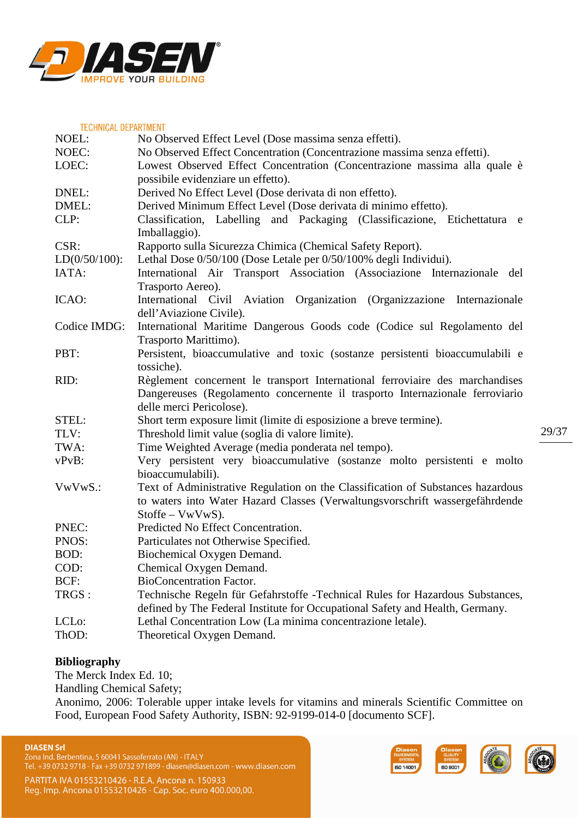![](_page_28_Picture_0.jpeg)

| <b>TECHNICAL DEPARTMENT</b> |                                                                                                                                                                                                        |  |  |  |
|-----------------------------|--------------------------------------------------------------------------------------------------------------------------------------------------------------------------------------------------------|--|--|--|
| NOEL:                       | No Observed Effect Level (Dose massima senza effetti).                                                                                                                                                 |  |  |  |
| NOEC:                       | No Observed Effect Concentration (Concentrazione massima senza effetti).                                                                                                                               |  |  |  |
| LOEC:                       | Lowest Observed Effect Concentration (Concentrazione massima alla quale è                                                                                                                              |  |  |  |
|                             | possibile evidenziare un effetto).                                                                                                                                                                     |  |  |  |
| DNEL:                       | Derived No Effect Level (Dose derivata di non effetto).                                                                                                                                                |  |  |  |
| DMEL:                       | Derived Minimum Effect Level (Dose derivata di minimo effetto).                                                                                                                                        |  |  |  |
| CLP:                        | Classification, Labelling and Packaging (Classificazione, Etichettatura e<br>Imballaggio).                                                                                                             |  |  |  |
| CSR:                        | Rapporto sulla Sicurezza Chimica (Chemical Safety Report).                                                                                                                                             |  |  |  |
| $LD(0/50/100)$ :            | Lethal Dose 0/50/100 (Dose Letale per 0/50/100% degli Individui).                                                                                                                                      |  |  |  |
| IATA:                       | International Air Transport Association (Associazione Internazionale del<br>Trasporto Aereo).                                                                                                          |  |  |  |
| ICAO:                       | International Civil Aviation Organization (Organizzazione Internazionale<br>dell'Aviazione Civile).                                                                                                    |  |  |  |
| Codice IMDG:                | International Maritime Dangerous Goods code (Codice sul Regolamento del<br>Trasporto Marittimo).                                                                                                       |  |  |  |
| PBT:                        | Persistent, bioaccumulative and toxic (sostanze persistenti bioaccumulabili e                                                                                                                          |  |  |  |
| RID:                        | tossiche).<br>Règlement concernent le transport International ferroviaire des marchandises<br>Dangereuses (Regolamento concernente il trasporto Internazionale ferroviario<br>delle merci Pericolose). |  |  |  |
| STEL:                       | Short term exposure limit (limite di esposizione a breve termine).                                                                                                                                     |  |  |  |
| TLV:                        | Threshold limit value (soglia di valore limite).                                                                                                                                                       |  |  |  |
| TWA:                        | Time Weighted Average (media ponderata nel tempo).                                                                                                                                                     |  |  |  |
| $vPvB$ :                    | Very persistent very bioaccumulative (sostanze molto persistenti e molto<br>bioaccumulabili).                                                                                                          |  |  |  |
| VwVwS.:                     | Text of Administrative Regulation on the Classification of Substances hazardous<br>to waters into Water Hazard Classes (Verwaltungsvorschrift wassergefährdende<br>$Stoffe - VwVwS$ ).                 |  |  |  |
| PNEC:                       | Predicted No Effect Concentration.                                                                                                                                                                     |  |  |  |
| PNOS:                       | Particulates not Otherwise Specified.                                                                                                                                                                  |  |  |  |
| BOD:                        | Biochemical Oxygen Demand.                                                                                                                                                                             |  |  |  |
| COD:                        | Chemical Oxygen Demand.                                                                                                                                                                                |  |  |  |
| BCF:                        | <b>BioConcentration Factor.</b>                                                                                                                                                                        |  |  |  |
| TRGS :                      | Technische Regeln für Gefahrstoffe - Technical Rules for Hazardous Substances,                                                                                                                         |  |  |  |
|                             | defined by The Federal Institute for Occupational Safety and Health, Germany.                                                                                                                          |  |  |  |
| LCL <sub>o</sub> :          | Lethal Concentration Low (La minima concentrazione letale).                                                                                                                                            |  |  |  |
| ThOD:                       | Theoretical Oxygen Demand.                                                                                                                                                                             |  |  |  |

# **Bibliography**

The Merck Index Ed. 10;

Handling Chemical Safety;

Anonimo, 2006: Tolerable upper intake levels for vitamins and minerals Scientific Committee on Food, European Food Safety Authority, ISBN: 92-9199-014-0 [documento SCF].

#### **DIASEN Srl**

Universitions<br>Zona Ind. Berbentina, 5 60041 Sassoferrato (AN) - ITALY<br>Tel. +39 0732 9718 - Fax +39 0732 971899 - diasen@diasen.com - www.diasen.com

PARTITA IVA 01553210426 - R.E.A. Ancona n. 150933<br>Reg. Imp. Ancona 01553210426 - Cap. Soc. euro 400.000,00.

![](_page_28_Picture_9.jpeg)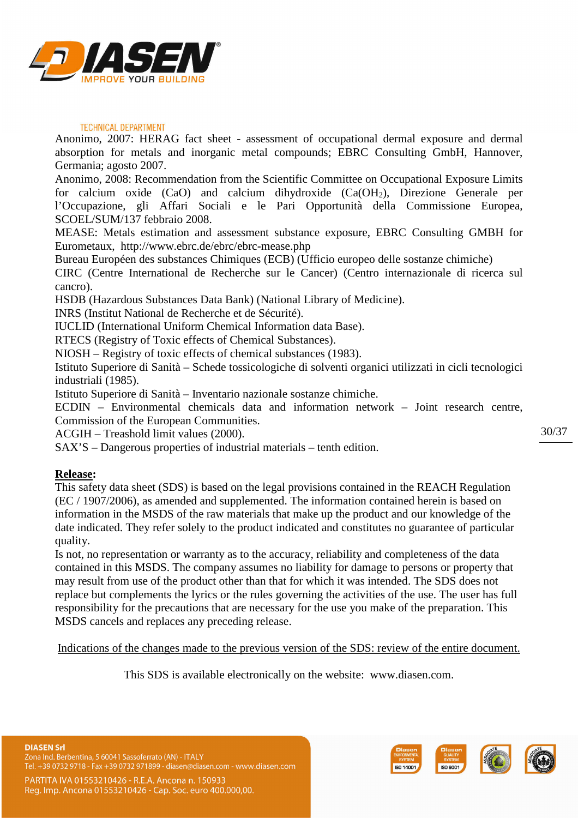![](_page_29_Picture_0.jpeg)

Anonimo, 2007: HERAG fact sheet - assessment of occupational dermal exposure and dermal absorption for metals and inorganic metal compounds; EBRC Consulting GmbH, Hannover, Germania; agosto 2007.

Anonimo, 2008: Recommendation from the Scientific Committee on Occupational Exposure Limits for calcium oxide (CaO) and calcium dihydroxide (Ca(OH2), Direzione Generale per l'Occupazione, gli Affari Sociali e le Pari Opportunità della Commissione Europea, SCOEL/SUM/137 febbraio 2008.

MEASE: Metals estimation and assessment substance exposure, EBRC Consulting GMBH for Eurometaux, http://www.ebrc.de/ebrc/ebrc-mease.php

Bureau Européen des substances Chimiques (ECB) (Ufficio europeo delle sostanze chimiche)

CIRC (Centre International de Recherche sur le Cancer) (Centro internazionale di ricerca sul cancro).

HSDB (Hazardous Substances Data Bank) (National Library of Medicine).

INRS (Institut National de Recherche et de Sécurité).

IUCLID (International Uniform Chemical Information data Base).

RTECS (Registry of Toxic effects of Chemical Substances).

NIOSH – Registry of toxic effects of chemical substances (1983).

Istituto Superiore di Sanità – Schede tossicologiche di solventi organici utilizzati in cicli tecnologici industriali (1985).

Istituto Superiore di Sanità – Inventario nazionale sostanze chimiche.

ECDIN – Environmental chemicals data and information network – Joint research centre, Commission of the European Communities.

ACGIH – Treashold limit values (2000).

SAX'S – Dangerous properties of industrial materials – tenth edition.

### **Release:**

This safety data sheet (SDS) is based on the legal provisions contained in the REACH Regulation (EC / 1907/2006), as amended and supplemented. The information contained herein is based on information in the MSDS of the raw materials that make up the product and our knowledge of the date indicated. They refer solely to the product indicated and constitutes no guarantee of particular quality.

Is not, no representation or warranty as to the accuracy, reliability and completeness of the data contained in this MSDS. The company assumes no liability for damage to persons or property that may result from use of the product other than that for which it was intended. The SDS does not replace but complements the lyrics or the rules governing the activities of the use. The user has full responsibility for the precautions that are necessary for the use you make of the preparation. This MSDS cancels and replaces any preceding release.

Indications of the changes made to the previous version of the SDS: review of the entire document.

This SDS is available electronically on the website: www.diasen.com.

Reg. Imp. Ancona 01553210426 - Cap. Soc. euro 400.000,00.

![](_page_29_Picture_23.jpeg)

![](_page_29_Picture_24.jpeg)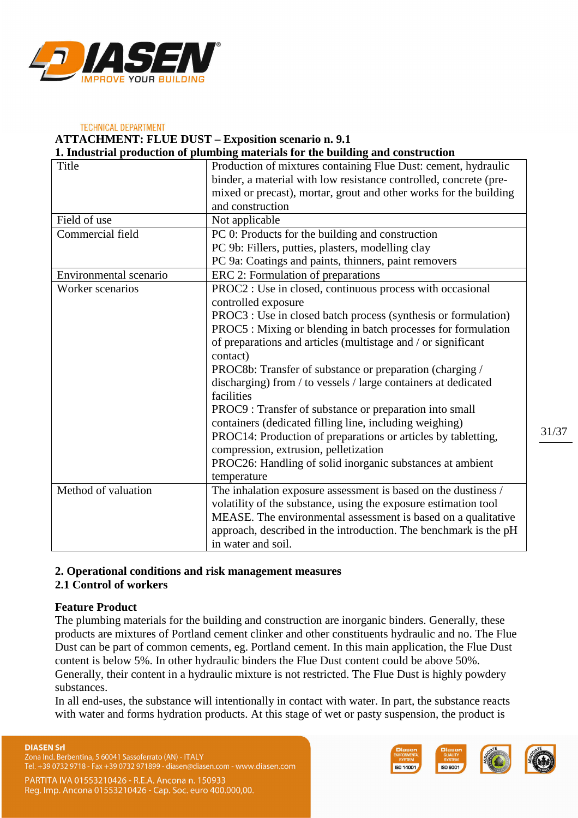![](_page_30_Picture_0.jpeg)

# **TECHNICAL DEPARTMENT ATTACHMENT: FLUE DUST – Exposition scenario n. 9.1**

**1. Industrial production of plumbing materials for the building and construction** 

| Title                  | Production of mixtures containing Flue Dust: cement, hydraulic    |  |  |  |
|------------------------|-------------------------------------------------------------------|--|--|--|
|                        | binder, a material with low resistance controlled, concrete (pre- |  |  |  |
|                        | mixed or precast), mortar, grout and other works for the building |  |  |  |
|                        | and construction                                                  |  |  |  |
| Field of use           | Not applicable                                                    |  |  |  |
| Commercial field       | PC 0: Products for the building and construction                  |  |  |  |
|                        | PC 9b: Fillers, putties, plasters, modelling clay                 |  |  |  |
|                        | PC 9a: Coatings and paints, thinners, paint removers              |  |  |  |
| Environmental scenario | ERC 2: Formulation of preparations                                |  |  |  |
| Worker scenarios       | PROC2 : Use in closed, continuous process with occasional         |  |  |  |
|                        | controlled exposure                                               |  |  |  |
|                        | PROC3 : Use in closed batch process (synthesis or formulation)    |  |  |  |
|                        | PROC5 : Mixing or blending in batch processes for formulation     |  |  |  |
|                        | of preparations and articles (multistage and / or significant     |  |  |  |
|                        | contact)                                                          |  |  |  |
|                        | PROC8b: Transfer of substance or preparation (charging /          |  |  |  |
|                        | discharging) from / to vessels / large containers at dedicated    |  |  |  |
|                        | facilities                                                        |  |  |  |
|                        | PROC9 : Transfer of substance or preparation into small           |  |  |  |
|                        | containers (dedicated filling line, including weighing)           |  |  |  |
|                        | PROC14: Production of preparations or articles by tabletting,     |  |  |  |
|                        | compression, extrusion, pelletization                             |  |  |  |
|                        | PROC26: Handling of solid inorganic substances at ambient         |  |  |  |
|                        | temperature                                                       |  |  |  |
| Method of valuation    | The inhalation exposure assessment is based on the dustiness /    |  |  |  |
|                        | volatility of the substance, using the exposure estimation tool   |  |  |  |
|                        | MEASE. The environmental assessment is based on a qualitative     |  |  |  |
|                        | approach, described in the introduction. The benchmark is the pH  |  |  |  |
|                        | in water and soil.                                                |  |  |  |

# **2. Operational conditions and risk management measures**

### **2.1 Control of workers**

### **Feature Product**

The plumbing materials for the building and construction are inorganic binders. Generally, these products are mixtures of Portland cement clinker and other constituents hydraulic and no. The Flue Dust can be part of common cements, eg. Portland cement. In this main application, the Flue Dust content is below 5%. In other hydraulic binders the Flue Dust content could be above 50%. Generally, their content in a hydraulic mixture is not restricted. The Flue Dust is highly powdery substances.

In all end-uses, the substance will intentionally in contact with water. In part, the substance reacts with water and forms hydration products. At this stage of wet or pasty suspension, the product is

#### **DIASEN Srl**

Zona Ind. Berbentina, 5 60041 Sassoferrato (AN) - ITALY Tel. +39 0732 9718 - Fax +39 0732 971899 - diasen@diasen.com - www.diasen.com

![](_page_30_Picture_11.jpeg)

![](_page_30_Picture_12.jpeg)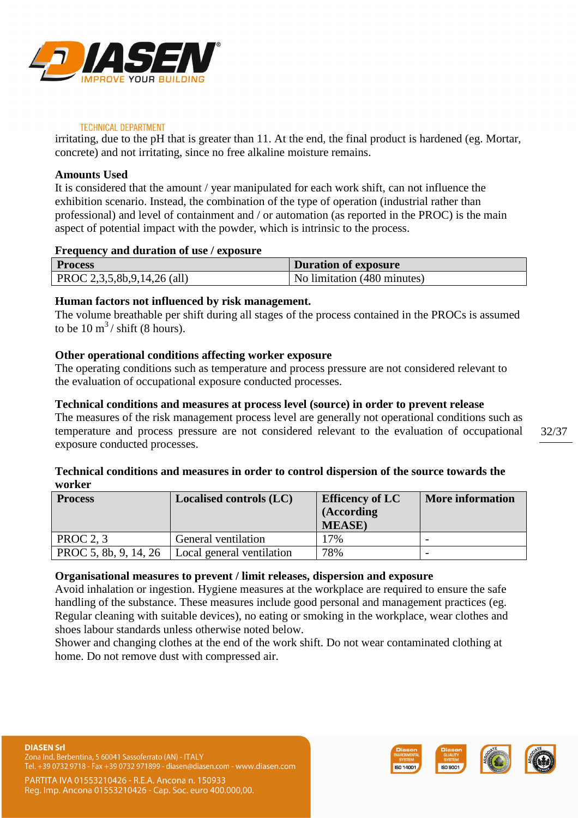![](_page_31_Picture_0.jpeg)

irritating, due to the pH that is greater than 11. At the end, the final product is hardened (eg. Mortar, concrete) and not irritating, since no free alkaline moisture remains.

# **Amounts Used**

It is considered that the amount / year manipulated for each work shift, can not influence the exhibition scenario. Instead, the combination of the type of operation (industrial rather than professional) and level of containment and / or automation (as reported in the PROC) is the main aspect of potential impact with the powder, which is intrinsic to the process.

# **Frequency and duration of use / exposure**

| <b>Process</b>              | Duration of exposure        |
|-----------------------------|-----------------------------|
| PROC 2,3,5,8b,9,14,26 (all) | No limitation (480 minutes) |

# **Human factors not influenced by risk management.**

The volume breathable per shift during all stages of the process contained in the PROCs is assumed to be  $10 \text{ m}^3$  / shift (8 hours).

# **Other operational conditions affecting worker exposure**

The operating conditions such as temperature and process pressure are not considered relevant to the evaluation of occupational exposure conducted processes.

# **Technical conditions and measures at process level (source) in order to prevent release**

The measures of the risk management process level are generally not operational conditions such as temperature and process pressure are not considered relevant to the evaluation of occupational exposure conducted processes.

# **Technical conditions and measures in order to control dispersion of the source towards the worker**

| <b>Process</b>        | <b>Localised controls (LC)</b> | <b>Efficency of LC</b> | <b>More information</b> |
|-----------------------|--------------------------------|------------------------|-------------------------|
|                       |                                | (According             |                         |
|                       |                                | <b>MEASE</b> )         |                         |
| <b>PROC 2, 3</b>      | General ventilation            | 17%                    |                         |
| PROC 5, 8b, 9, 14, 26 | Local general ventilation      | 78%                    |                         |

# **Organisational measures to prevent / limit releases, dispersion and exposure**

Avoid inhalation or ingestion. Hygiene measures at the workplace are required to ensure the safe handling of the substance. These measures include good personal and management practices (eg. Regular cleaning with suitable devices), no eating or smoking in the workplace, wear clothes and shoes labour standards unless otherwise noted below.

Shower and changing clothes at the end of the work shift. Do not wear contaminated clothing at home. Do not remove dust with compressed air.

![](_page_31_Picture_19.jpeg)

![](_page_31_Picture_20.jpeg)

![](_page_31_Picture_21.jpeg)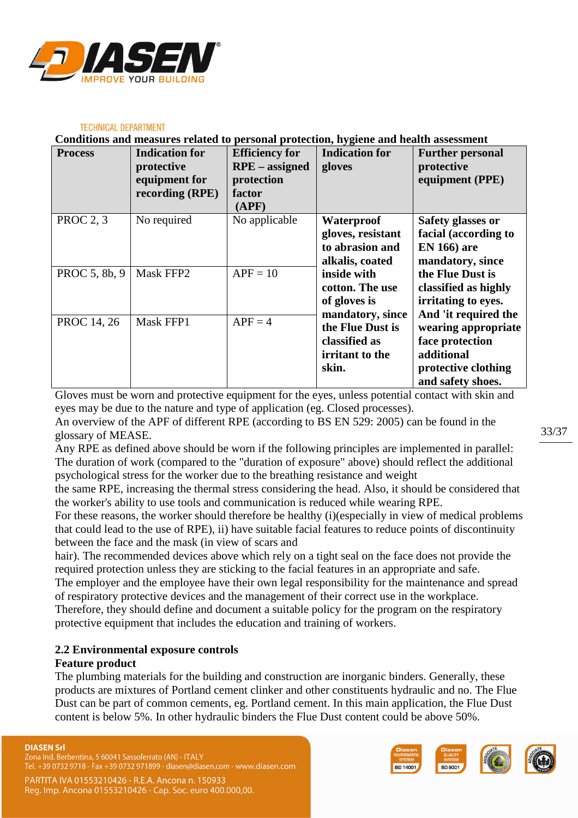![](_page_32_Picture_0.jpeg)

**Conditions and measures related to personal protection, hygiene and health assessment** 

| <b>Process</b>     | <b>Indication for</b><br>protective<br>equipment for<br>recording (RPE) | <b>Efficiency for</b><br><b>RPE</b> – assigned<br>protection<br>factor | <b>Indication for</b><br>gloves | <b>Further personal</b><br>protective<br>equipment (PPE) |
|--------------------|-------------------------------------------------------------------------|------------------------------------------------------------------------|---------------------------------|----------------------------------------------------------|
|                    |                                                                         | (APP)                                                                  |                                 |                                                          |
| <b>PROC 2, 3</b>   | No required                                                             | No applicable                                                          | Waterproof                      | Safety glasses or                                        |
|                    |                                                                         |                                                                        | gloves, resistant               | facial (according to                                     |
|                    |                                                                         |                                                                        | to abrasion and                 | <b>EN 166)</b> are                                       |
|                    |                                                                         |                                                                        | alkalis, coated                 | mandatory, since                                         |
| PROC 5, 8b, 9      | Mask FFP2                                                               | $APF = 10$                                                             | inside with                     | the Flue Dust is                                         |
|                    |                                                                         |                                                                        | cotton. The use                 | classified as highly                                     |
|                    |                                                                         |                                                                        | of gloves is                    | irritating to eyes.                                      |
|                    |                                                                         |                                                                        | mandatory, since                | And 'it required the                                     |
| <b>PROC</b> 14, 26 | Mask FFP1                                                               | $APF = 4$                                                              | the Flue Dust is                | wearing appropriate                                      |
|                    |                                                                         |                                                                        | classified as                   | face protection                                          |
|                    |                                                                         |                                                                        | irritant to the                 | additional                                               |
|                    |                                                                         |                                                                        | skin.                           | protective clothing                                      |
|                    |                                                                         |                                                                        |                                 | and safety shoes.                                        |

Gloves must be worn and protective equipment for the eyes, unless potential contact with skin and eyes may be due to the nature and type of application (eg. Closed processes).

An overview of the APF of different RPE (according to BS EN 529: 2005) can be found in the glossary of MEASE.

Any RPE as defined above should be worn if the following principles are implemented in parallel: The duration of work (compared to the "duration of exposure" above) should reflect the additional psychological stress for the worker due to the breathing resistance and weight

the same RPE, increasing the thermal stress considering the head. Also, it should be considered that the worker's ability to use tools and communication is reduced while wearing RPE.

For these reasons, the worker should therefore be healthy (i)(especially in view of medical problems that could lead to the use of RPE), ii) have suitable facial features to reduce points of discontinuity between the face and the mask (in view of scars and

hair). The recommended devices above which rely on a tight seal on the face does not provide the required protection unless they are sticking to the facial features in an appropriate and safe.

The employer and the employee have their own legal responsibility for the maintenance and spread of respiratory protective devices and the management of their correct use in the workplace. Therefore, they should define and document a suitable policy for the program on the respiratory protective equipment that includes the education and training of workers.

# **2.2 Environmental exposure controls**

### **Feature product**

The plumbing materials for the building and construction are inorganic binders. Generally, these products are mixtures of Portland cement clinker and other constituents hydraulic and no. The Flue Dust can be part of common cements, eg. Portland cement. In this main application, the Flue Dust content is below 5%. In other hydraulic binders the Flue Dust content could be above 50%.

Zona Ind. Berbentina, 5 60041 Sassoferrato (AN) - ITALY Tel. +39 0732 9718 - Fax +39 0732 971899 - diasen@diasen.com - www.diasen.com

![](_page_32_Picture_16.jpeg)

![](_page_32_Picture_17.jpeg)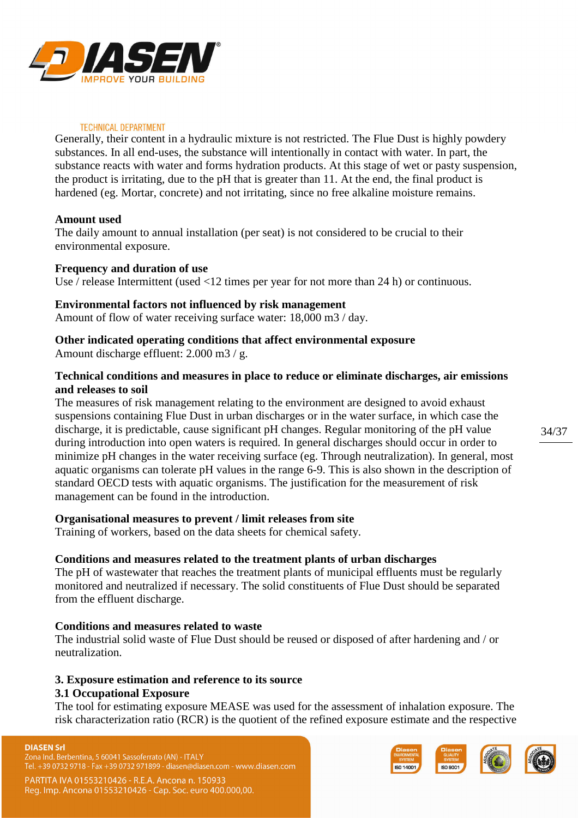![](_page_33_Picture_0.jpeg)

Generally, their content in a hydraulic mixture is not restricted. The Flue Dust is highly powdery substances. In all end-uses, the substance will intentionally in contact with water. In part, the substance reacts with water and forms hydration products. At this stage of wet or pasty suspension, the product is irritating, due to the pH that is greater than 11. At the end, the final product is hardened (eg. Mortar, concrete) and not irritating, since no free alkaline moisture remains.

### **Amount used**

The daily amount to annual installation (per seat) is not considered to be crucial to their environmental exposure.

### **Frequency and duration of use**

Use / release Intermittent (used <12 times per year for not more than 24 h) or continuous.

### **Environmental factors not influenced by risk management**

Amount of flow of water receiving surface water: 18,000 m3 / day.

### **Other indicated operating conditions that affect environmental exposure**

Amount discharge effluent: 2.000 m3 / g.

# **Technical conditions and measures in place to reduce or eliminate discharges, air emissions and releases to soil**

The measures of risk management relating to the environment are designed to avoid exhaust suspensions containing Flue Dust in urban discharges or in the water surface, in which case the discharge, it is predictable, cause significant pH changes. Regular monitoring of the pH value during introduction into open waters is required. In general discharges should occur in order to minimize pH changes in the water receiving surface (eg. Through neutralization). In general, most aquatic organisms can tolerate pH values in the range 6-9. This is also shown in the description of standard OECD tests with aquatic organisms. The justification for the measurement of risk management can be found in the introduction.

### **Organisational measures to prevent / limit releases from site**

Training of workers, based on the data sheets for chemical safety.

### **Conditions and measures related to the treatment plants of urban discharges**

The pH of wastewater that reaches the treatment plants of municipal effluents must be regularly monitored and neutralized if necessary. The solid constituents of Flue Dust should be separated from the effluent discharge.

### **Conditions and measures related to waste**

The industrial solid waste of Flue Dust should be reused or disposed of after hardening and / or neutralization.

### **3. Exposure estimation and reference to its source**

### **3.1 Occupational Exposure**

The tool for estimating exposure MEASE was used for the assessment of inhalation exposure. The risk characterization ratio (RCR) is the quotient of the refined exposure estimate and the respective

#### **DIASEN Srl**

Zona Ind. Berbentina, 5 60041 Sassoferrato (AN) - ITALY Tel. +39 0732 9718 - Fax +39 0732 971899 - diasen@diasen.com - www.diasen.com

![](_page_33_Picture_25.jpeg)

![](_page_33_Picture_26.jpeg)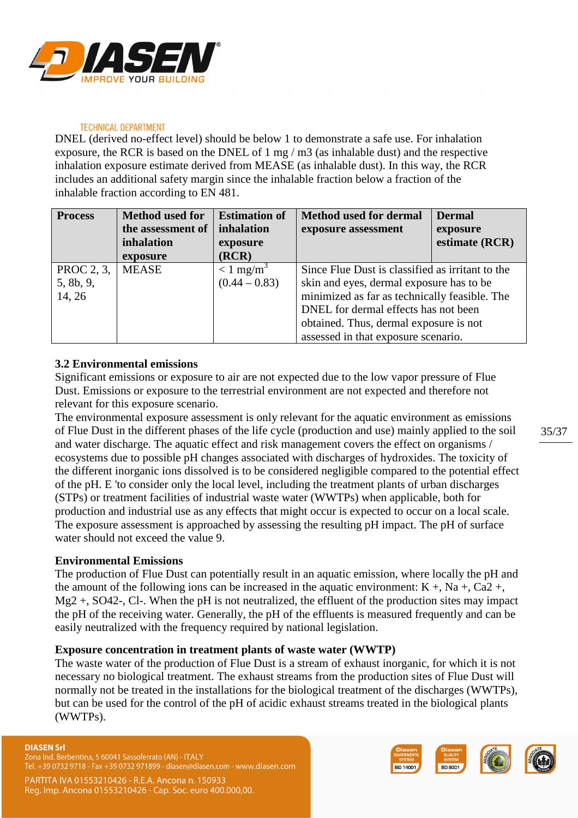![](_page_34_Picture_0.jpeg)

DNEL (derived no-effect level) should be below 1 to demonstrate a safe use. For inhalation exposure, the RCR is based on the DNEL of 1 mg / m3 (as inhalable dust) and the respective inhalation exposure estimate derived from MEASE (as inhalable dust). In this way, the RCR includes an additional safety margin since the inhalable fraction below a fraction of the inhalable fraction according to EN 481.

| <b>Process</b> | <b>Method</b> used for | <b>Estimation of</b>    | <b>Method used for dermal</b>                    | <b>Dermal</b>  |
|----------------|------------------------|-------------------------|--------------------------------------------------|----------------|
|                | the assessment of      | inhalation              | exposure assessment                              | exposure       |
|                | inhalation             | exposure                |                                                  | estimate (RCR) |
|                | exposure               | (RCR)                   |                                                  |                |
| PROC 2, 3,     | <b>MEASE</b>           | $< 1$ mg/m <sup>3</sup> | Since Flue Dust is classified as irritant to the |                |
| 5, 8b, 9,      |                        | $(0.44 - 0.83)$         | skin and eyes, dermal exposure has to be         |                |
| 14, 26         |                        |                         | minimized as far as technically feasible. The    |                |
|                |                        |                         | DNEL for dermal effects has not been             |                |
|                |                        |                         | obtained. Thus, dermal exposure is not           |                |
|                |                        |                         | assessed in that exposure scenario.              |                |

# **3.2 Environmental emissions**

Significant emissions or exposure to air are not expected due to the low vapor pressure of Flue Dust. Emissions or exposure to the terrestrial environment are not expected and therefore not relevant for this exposure scenario.

The environmental exposure assessment is only relevant for the aquatic environment as emissions of Flue Dust in the different phases of the life cycle (production and use) mainly applied to the soil and water discharge. The aquatic effect and risk management covers the effect on organisms / ecosystems due to possible pH changes associated with discharges of hydroxides. The toxicity of the different inorganic ions dissolved is to be considered negligible compared to the potential effect of the pH. E 'to consider only the local level, including the treatment plants of urban discharges (STPs) or treatment facilities of industrial waste water (WWTPs) when applicable, both for production and industrial use as any effects that might occur is expected to occur on a local scale. The exposure assessment is approached by assessing the resulting pH impact. The pH of surface water should not exceed the value 9.

# **Environmental Emissions**

The production of Flue Dust can potentially result in an aquatic emission, where locally the pH and the amount of the following ions can be increased in the aquatic environment:  $K +$ , Na +, Ca2 +, Mg<sub>2</sub> +, SO<sub>42</sub>-, C<sub>1</sub>. When the pH is not neutralized, the effluent of the production sites may impact the pH of the receiving water. Generally, the pH of the effluents is measured frequently and can be easily neutralized with the frequency required by national legislation.

### **Exposure concentration in treatment plants of waste water (WWTP)**

The waste water of the production of Flue Dust is a stream of exhaust inorganic, for which it is not necessary no biological treatment. The exhaust streams from the production sites of Flue Dust will normally not be treated in the installations for the biological treatment of the discharges (WWTPs), but can be used for the control of the pH of acidic exhaust streams treated in the biological plants (WWTPs).

#### **DIASEN Srl**

Zona Ind. Berbentina, 5 60041 Sassoferrato (AN) - ITALY Tel. +39 0732 9718 - Fax +39 0732 971899 - diasen@diasen.com - www.diasen.com

![](_page_34_Picture_14.jpeg)

![](_page_34_Picture_15.jpeg)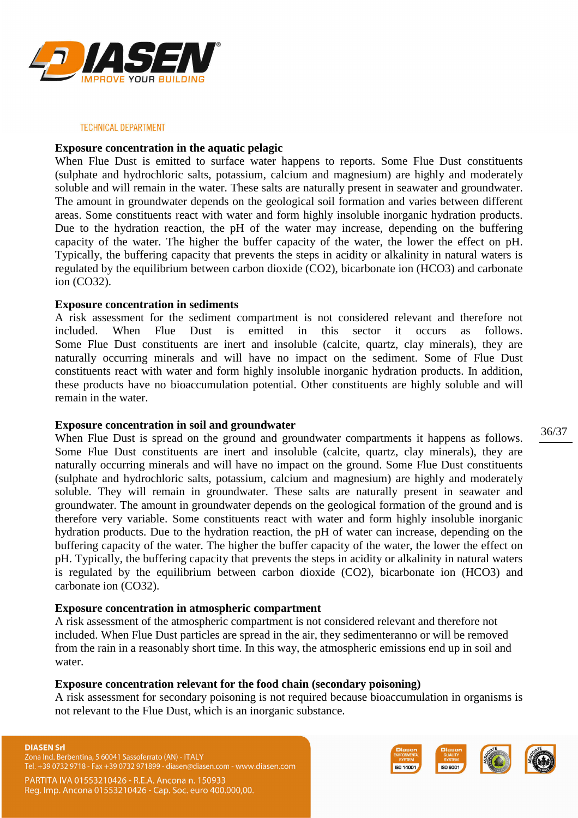![](_page_35_Picture_0.jpeg)

### **Exposure concentration in the aquatic pelagic**

When Flue Dust is emitted to surface water happens to reports. Some Flue Dust constituents (sulphate and hydrochloric salts, potassium, calcium and magnesium) are highly and moderately soluble and will remain in the water. These salts are naturally present in seawater and groundwater. The amount in groundwater depends on the geological soil formation and varies between different areas. Some constituents react with water and form highly insoluble inorganic hydration products. Due to the hydration reaction, the pH of the water may increase, depending on the buffering capacity of the water. The higher the buffer capacity of the water, the lower the effect on pH. Typically, the buffering capacity that prevents the steps in acidity or alkalinity in natural waters is regulated by the equilibrium between carbon dioxide (CO2), bicarbonate ion (HCO3) and carbonate ion (CO32).

### **Exposure concentration in sediments**

A risk assessment for the sediment compartment is not considered relevant and therefore not included. When Flue Dust is emitted in this sector it occurs as follows. Some Flue Dust constituents are inert and insoluble (calcite, quartz, clay minerals), they are naturally occurring minerals and will have no impact on the sediment. Some of Flue Dust constituents react with water and form highly insoluble inorganic hydration products. In addition, these products have no bioaccumulation potential. Other constituents are highly soluble and will remain in the water.

### **Exposure concentration in soil and groundwater**

When Flue Dust is spread on the ground and groundwater compartments it happens as follows. Some Flue Dust constituents are inert and insoluble (calcite, quartz, clay minerals), they are naturally occurring minerals and will have no impact on the ground. Some Flue Dust constituents (sulphate and hydrochloric salts, potassium, calcium and magnesium) are highly and moderately soluble. They will remain in groundwater. These salts are naturally present in seawater and groundwater. The amount in groundwater depends on the geological formation of the ground and is therefore very variable. Some constituents react with water and form highly insoluble inorganic hydration products. Due to the hydration reaction, the pH of water can increase, depending on the buffering capacity of the water. The higher the buffer capacity of the water, the lower the effect on pH. Typically, the buffering capacity that prevents the steps in acidity or alkalinity in natural waters is regulated by the equilibrium between carbon dioxide (CO2), bicarbonate ion (HCO3) and carbonate ion (CO32).

### **Exposure concentration in atmospheric compartment**

A risk assessment of the atmospheric compartment is not considered relevant and therefore not included. When Flue Dust particles are spread in the air, they sedimenteranno or will be removed from the rain in a reasonably short time. In this way, the atmospheric emissions end up in soil and water.

### **Exposure concentration relevant for the food chain (secondary poisoning)**

A risk assessment for secondary poisoning is not required because bioaccumulation in organisms is not relevant to the Flue Dust, which is an inorganic substance.

#### **DIASEN Srl**

Zona Ind. Berbentina, 5 60041 Sassoferrato (AN) - ITALY +39 0732 9718 - Fax +39 0732 971899 - diasen@diasen.com - www.diasen.com

PARTITA IVA 01553210426 - R.E.A. Ancona n. 150933 Reg. Imp. Ancona 01553210426 - Cap. Soc. euro 400.000,00.

![](_page_35_Picture_15.jpeg)